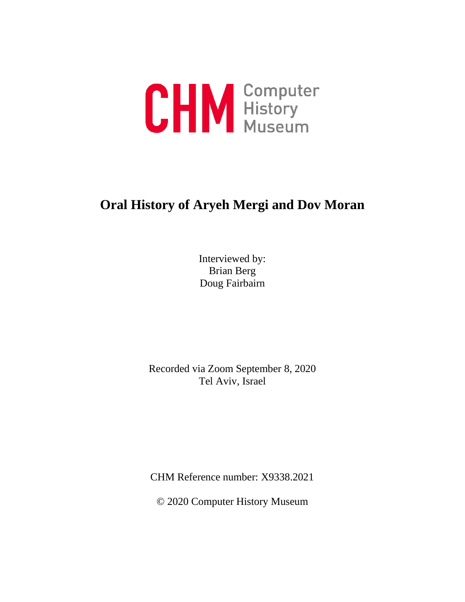

# **Oral History of Aryeh Mergi and Dov Moran**

Interviewed by: Brian Berg Doug Fairbairn

Recorded via Zoom September 8, 2020 Tel Aviv, Israel

CHM Reference number: X9338.2021

© 2020 Computer History Museum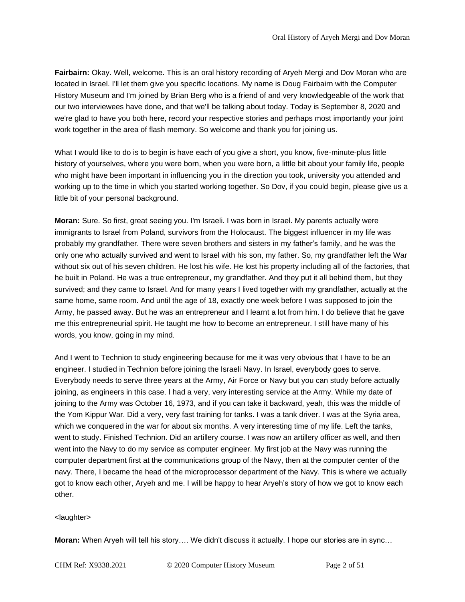**Fairbairn:** Okay. Well, welcome. This is an oral history recording of Aryeh Mergi and Dov Moran who are located in Israel. I'll let them give you specific locations. My name is Doug Fairbairn with the Computer History Museum and I'm joined by Brian Berg who is a friend of and very knowledgeable of the work that our two interviewees have done, and that we'll be talking about today. Today is September 8, 2020 and we're glad to have you both here, record your respective stories and perhaps most importantly your joint work together in the area of flash memory. So welcome and thank you for joining us.

What I would like to do is to begin is have each of you give a short, you know, five-minute-plus little history of yourselves, where you were born, when you were born, a little bit about your family life, people who might have been important in influencing you in the direction you took, university you attended and working up to the time in which you started working together. So Dov, if you could begin, please give us a little bit of your personal background.

**Moran:** Sure. So first, great seeing you. I'm Israeli. I was born in Israel. My parents actually were immigrants to Israel from Poland, survivors from the Holocaust. The biggest influencer in my life was probably my grandfather. There were seven brothers and sisters in my father's family, and he was the only one who actually survived and went to Israel with his son, my father. So, my grandfather left the War without six out of his seven children. He lost his wife. He lost his property including all of the factories, that he built in Poland. He was a true entrepreneur, my grandfather. And they put it all behind them, but they survived; and they came to Israel. And for many years I lived together with my grandfather, actually at the same home, same room. And until the age of 18, exactly one week before I was supposed to join the Army, he passed away. But he was an entrepreneur and I learnt a lot from him. I do believe that he gave me this entrepreneurial spirit. He taught me how to become an entrepreneur. I still have many of his words, you know, going in my mind.

And I went to Technion to study engineering because for me it was very obvious that I have to be an engineer. I studied in Technion before joining the Israeli Navy. In Israel, everybody goes to serve. Everybody needs to serve three years at the Army, Air Force or Navy but you can study before actually joining, as engineers in this case. I had a very, very interesting service at the Army. While my date of joining to the Army was October 16, 1973, and if you can take it backward, yeah, this was the middle of the Yom Kippur War. Did a very, very fast training for tanks. I was a tank driver. I was at the Syria area, which we conquered in the war for about six months. A very interesting time of my life. Left the tanks, went to study. Finished Technion. Did an artillery course. I was now an artillery officer as well, and then went into the Navy to do my service as computer engineer. My first job at the Navy was running the computer department first at the communications group of the Navy, then at the computer center of the navy. There, I became the head of the microprocessor department of the Navy. This is where we actually got to know each other, Aryeh and me. I will be happy to hear Aryeh's story of how we got to know each other.

#### <laughter>

**Moran:** When Aryeh will tell his story…. We didn't discuss it actually. I hope our stories are in sync…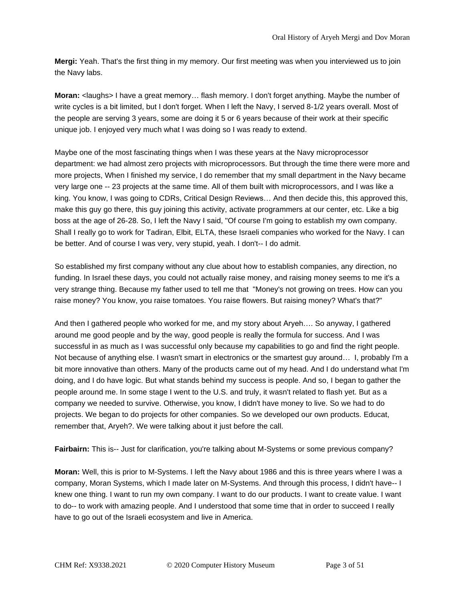**Mergi:** Yeah. That's the first thing in my memory. Our first meeting was when you interviewed us to join the Navy labs.

**Moran:** <laughs> I have a great memory… flash memory. I don't forget anything. Maybe the number of write cycles is a bit limited, but I don't forget. When I left the Navy, I served 8-1/2 years overall. Most of the people are serving 3 years, some are doing it 5 or 6 years because of their work at their specific unique job. I enjoyed very much what I was doing so I was ready to extend.

Maybe one of the most fascinating things when I was these years at the Navy microprocessor department: we had almost zero projects with microprocessors. But through the time there were more and more projects, When I finished my service, I do remember that my small department in the Navy became very large one -- 23 projects at the same time. All of them built with microprocessors, and I was like a king. You know, I was going to CDRs, Critical Design Reviews… And then decide this, this approved this, make this guy go there, this guy joining this activity, activate programmers at our center, etc. Like a big boss at the age of 26-28. So, I left the Navy I said, "Of course I'm going to establish my own company. Shall I really go to work for Tadiran, Elbit, ELTA, these Israeli companies who worked for the Navy. I can be better. And of course I was very, very stupid, yeah. I don't-- I do admit.

So established my first company without any clue about how to establish companies, any direction, no funding. In Israel these days, you could not actually raise money, and raising money seems to me it's a very strange thing. Because my father used to tell me that "Money's not growing on trees. How can you raise money? You know, you raise tomatoes. You raise flowers. But raising money? What's that?"

And then I gathered people who worked for me, and my story about Aryeh…. So anyway, I gathered around me good people and by the way, good people is really the formula for success. And I was successful in as much as I was successful only because my capabilities to go and find the right people. Not because of anything else. I wasn't smart in electronics or the smartest guy around… I, probably I'm a bit more innovative than others. Many of the products came out of my head. And I do understand what I'm doing, and I do have logic. But what stands behind my success is people. And so, I began to gather the people around me. In some stage I went to the U.S. and truly, it wasn't related to flash yet. But as a company we needed to survive. Otherwise, you know, I didn't have money to live. So we had to do projects. We began to do projects for other companies. So we developed our own products. Educat, remember that, Aryeh?. We were talking about it just before the call.

**Fairbairn:** This is-- Just for clarification, you're talking about M-Systems or some previous company?

**Moran:** Well, this is prior to M-Systems. I left the Navy about 1986 and this is three years where I was a company, Moran Systems, which I made later on M-Systems. And through this process, I didn't have-- I knew one thing. I want to run my own company. I want to do our products. I want to create value. I want to do-- to work with amazing people. And I understood that some time that in order to succeed I really have to go out of the Israeli ecosystem and live in America.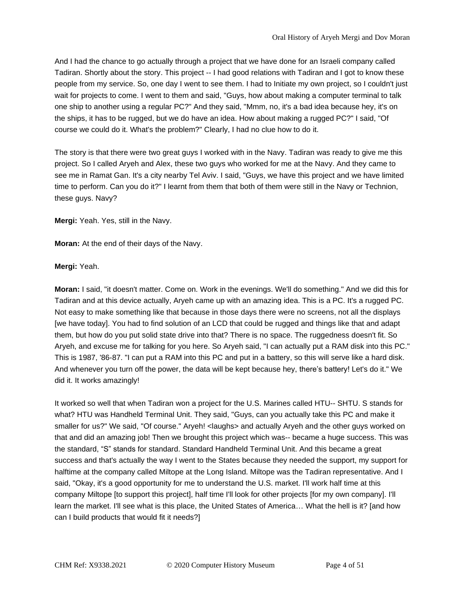And I had the chance to go actually through a project that we have done for an Israeli company called Tadiran. Shortly about the story. This project -- I had good relations with Tadiran and I got to know these people from my service. So, one day I went to see them. I had to Initiate my own project, so I couldn't just wait for projects to come. I went to them and said, "Guys, how about making a computer terminal to talk one ship to another using a regular PC?" And they said, "Mmm, no, it's a bad idea because hey, it's on the ships, it has to be rugged, but we do have an idea. How about making a rugged PC?" I said, "Of course we could do it. What's the problem?" Clearly, I had no clue how to do it.

The story is that there were two great guys I worked with in the Navy. Tadiran was ready to give me this project. So I called Aryeh and Alex, these two guys who worked for me at the Navy. And they came to see me in Ramat Gan. It's a city nearby Tel Aviv. I said, "Guys, we have this project and we have limited time to perform. Can you do it?" I learnt from them that both of them were still in the Navy or Technion, these guys. Navy?

**Mergi:** Yeah. Yes, still in the Navy.

**Moran:** At the end of their days of the Navy.

**Mergi:** Yeah.

**Moran:** I said, "it doesn't matter. Come on. Work in the evenings. We'll do something." And we did this for Tadiran and at this device actually, Aryeh came up with an amazing idea. This is a PC. It's a rugged PC. Not easy to make something like that because in those days there were no screens, not all the displays [we have today]. You had to find solution of an LCD that could be rugged and things like that and adapt them, but how do you put solid state drive into that? There is no space. The ruggedness doesn't fit. So Aryeh, and excuse me for talking for you here. So Aryeh said, "I can actually put a RAM disk into this PC." This is 1987, '86-87. "I can put a RAM into this PC and put in a battery, so this will serve like a hard disk. And whenever you turn off the power, the data will be kept because hey, there's battery! Let's do it." We did it. It works amazingly!

It worked so well that when Tadiran won a project for the U.S. Marines called HTU-- SHTU. S stands for what? HTU was Handheld Terminal Unit. They said, "Guys, can you actually take this PC and make it smaller for us?" We said, "Of course." Aryeh! <laughs> and actually Aryeh and the other guys worked on that and did an amazing job! Then we brought this project which was-- became a huge success. This was the standard, "S" stands for standard. Standard Handheld Terminal Unit. And this became a great success and that's actually the way I went to the States because they needed the support, my support for halftime at the company called Miltope at the Long Island. Miltope was the Tadiran representative. And I said, "Okay, it's a good opportunity for me to understand the U.S. market. I'll work half time at this company Miltope [to support this project], half time I'll look for other projects [for my own company]. I'll learn the market. I'll see what is this place, the United States of America… What the hell is it? [and how can I build products that would fit it needs?]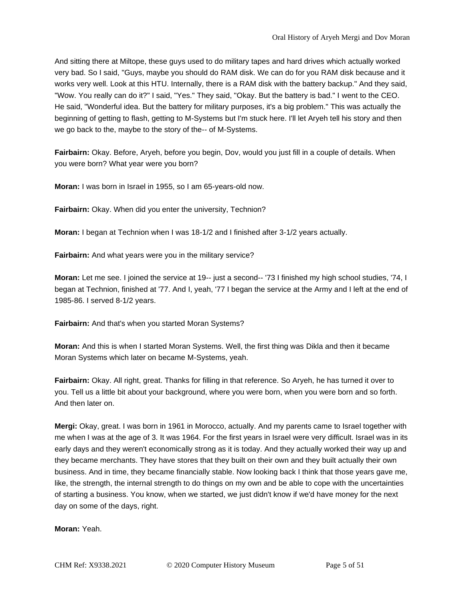And sitting there at Miltope, these guys used to do military tapes and hard drives which actually worked very bad. So I said, "Guys, maybe you should do RAM disk. We can do for you RAM disk because and it works very well. Look at this HTU. Internally, there is a RAM disk with the battery backup." And they said, "Wow. You really can do it?" I said, "Yes." They said, "Okay. But the battery is bad." I went to the CEO. He said, "Wonderful idea. But the battery for military purposes, it's a big problem." This was actually the beginning of getting to flash, getting to M-Systems but I'm stuck here. I'll let Aryeh tell his story and then we go back to the, maybe to the story of the-- of M-Systems.

**Fairbairn:** Okay. Before, Aryeh, before you begin, Dov, would you just fill in a couple of details. When you were born? What year were you born?

**Moran:** I was born in Israel in 1955, so I am 65-years-old now.

**Fairbairn:** Okay. When did you enter the university, Technion?

**Moran:** I began at Technion when I was 18-1/2 and I finished after 3-1/2 years actually.

**Fairbairn:** And what years were you in the military service?

**Moran:** Let me see. I joined the service at 19-- just a second-- '73 I finished my high school studies, '74, I began at Technion, finished at '77. And I, yeah, '77 I began the service at the Army and I left at the end of 1985-86. I served 8-1/2 years.

**Fairbairn:** And that's when you started Moran Systems?

**Moran:** And this is when I started Moran Systems. Well, the first thing was Dikla and then it became Moran Systems which later on became M-Systems, yeah.

**Fairbairn:** Okay. All right, great. Thanks for filling in that reference. So Aryeh, he has turned it over to you. Tell us a little bit about your background, where you were born, when you were born and so forth. And then later on.

**Mergi:** Okay, great. I was born in 1961 in Morocco, actually. And my parents came to Israel together with me when I was at the age of 3. It was 1964. For the first years in Israel were very difficult. Israel was in its early days and they weren't economically strong as it is today. And they actually worked their way up and they became merchants. They have stores that they built on their own and they built actually their own business. And in time, they became financially stable. Now looking back I think that those years gave me, like, the strength, the internal strength to do things on my own and be able to cope with the uncertainties of starting a business. You know, when we started, we just didn't know if we'd have money for the next day on some of the days, right.

**Moran:** Yeah.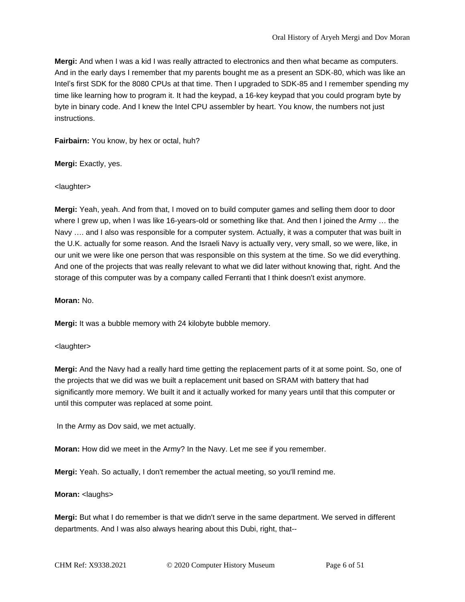**Mergi:** And when I was a kid I was really attracted to electronics and then what became as computers. And in the early days I remember that my parents bought me as a present an SDK-80, which was like an Intel's first SDK for the 8080 CPUs at that time. Then I upgraded to SDK-85 and I remember spending my time like learning how to program it. It had the keypad, a 16-key keypad that you could program byte by byte in binary code. And I knew the Intel CPU assembler by heart. You know, the numbers not just instructions.

**Fairbairn:** You know, by hex or octal, huh?

**Mergi:** Exactly, yes.

<laughter>

**Mergi:** Yeah, yeah. And from that, I moved on to build computer games and selling them door to door where I grew up, when I was like 16-years-old or something like that. And then I joined the Army ... the Navy …. and I also was responsible for a computer system. Actually, it was a computer that was built in the U.K. actually for some reason. And the Israeli Navy is actually very, very small, so we were, like, in our unit we were like one person that was responsible on this system at the time. So we did everything. And one of the projects that was really relevant to what we did later without knowing that, right. And the storage of this computer was by a company called Ferranti that I think doesn't exist anymore.

**Moran:** No.

**Mergi:** It was a bubble memory with 24 kilobyte bubble memory.

<laughter>

**Mergi:** And the Navy had a really hard time getting the replacement parts of it at some point. So, one of the projects that we did was we built a replacement unit based on SRAM with battery that had significantly more memory. We built it and it actually worked for many years until that this computer or until this computer was replaced at some point.

In the Army as Dov said, we met actually.

**Moran:** How did we meet in the Army? In the Navy. Let me see if you remember.

**Mergi:** Yeah. So actually, I don't remember the actual meeting, so you'll remind me.

#### **Moran:** <laughs>

**Mergi:** But what I do remember is that we didn't serve in the same department. We served in different departments. And I was also always hearing about this Dubi, right, that--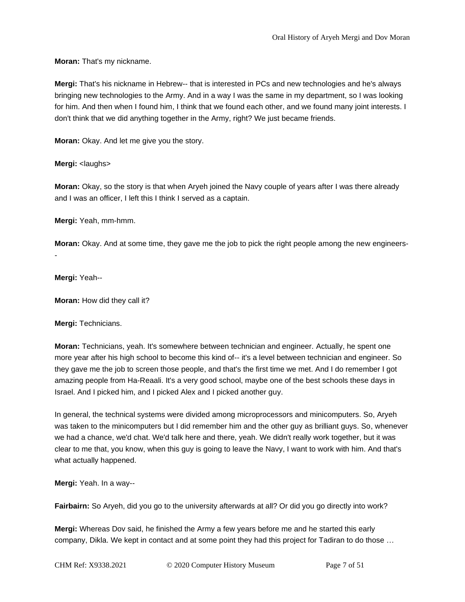**Moran:** That's my nickname.

**Mergi:** That's his nickname in Hebrew-- that is interested in PCs and new technologies and he's always bringing new technologies to the Army. And in a way I was the same in my department, so I was looking for him. And then when I found him, I think that we found each other, and we found many joint interests. I don't think that we did anything together in the Army, right? We just became friends.

**Moran:** Okay. And let me give you the story.

**Mergi:** <laughs>

**Moran:** Okay, so the story is that when Aryeh joined the Navy couple of years after I was there already and I was an officer, I left this I think I served as a captain.

**Mergi:** Yeah, mm-hmm.

**Moran:** Okay. And at some time, they gave me the job to pick the right people among the new engineers- -

**Mergi:** Yeah--

**Moran:** How did they call it?

**Mergi:** Technicians.

**Moran:** Technicians, yeah. It's somewhere between technician and engineer. Actually, he spent one more year after his high school to become this kind of-- it's a level between technician and engineer. So they gave me the job to screen those people, and that's the first time we met. And I do remember I got amazing people from Ha-Reaali. It's a very good school, maybe one of the best schools these days in Israel. And I picked him, and I picked Alex and I picked another guy.

In general, the technical systems were divided among microprocessors and minicomputers. So, Aryeh was taken to the minicomputers but I did remember him and the other guy as brilliant guys. So, whenever we had a chance, we'd chat. We'd talk here and there, yeah. We didn't really work together, but it was clear to me that, you know, when this guy is going to leave the Navy, I want to work with him. And that's what actually happened.

**Mergi:** Yeah. In a way--

**Fairbairn:** So Aryeh, did you go to the university afterwards at all? Or did you go directly into work?

**Mergi:** Whereas Dov said, he finished the Army a few years before me and he started this early company, Dikla. We kept in contact and at some point they had this project for Tadiran to do those …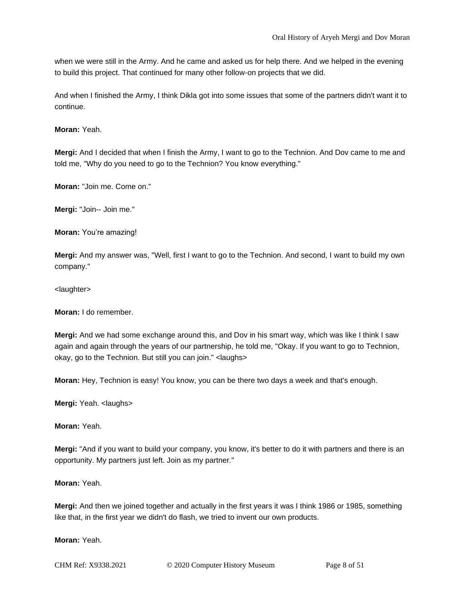when we were still in the Army. And he came and asked us for help there. And we helped in the evening to build this project. That continued for many other follow-on projects that we did.

And when I finished the Army, I think Dikla got into some issues that some of the partners didn't want it to continue.

**Moran:** Yeah.

**Mergi:** And I decided that when I finish the Army, I want to go to the Technion. And Dov came to me and told me, "Why do you need to go to the Technion? You know everything."

**Moran:** "Join me. Come on."

**Mergi:** "Join-- Join me."

**Moran:** You're amazing!

**Mergi:** And my answer was, "Well, first I want to go to the Technion. And second, I want to build my own company."

<laughter>

**Moran:** I do remember.

**Mergi:** And we had some exchange around this, and Dov in his smart way, which was like I think I saw again and again through the years of our partnership, he told me, "Okay. If you want to go to Technion, okay, go to the Technion. But still you can join." <laughs>

**Moran:** Hey, Technion is easy! You know, you can be there two days a week and that's enough.

**Mergi:** Yeah. <laughs>

**Moran:** Yeah.

**Mergi:** "And if you want to build your company, you know, it's better to do it with partners and there is an opportunity. My partners just left. Join as my partner."

**Moran:** Yeah.

**Mergi:** And then we joined together and actually in the first years it was I think 1986 or 1985, something like that, in the first year we didn't do flash, we tried to invent our own products.

**Moran:** Yeah.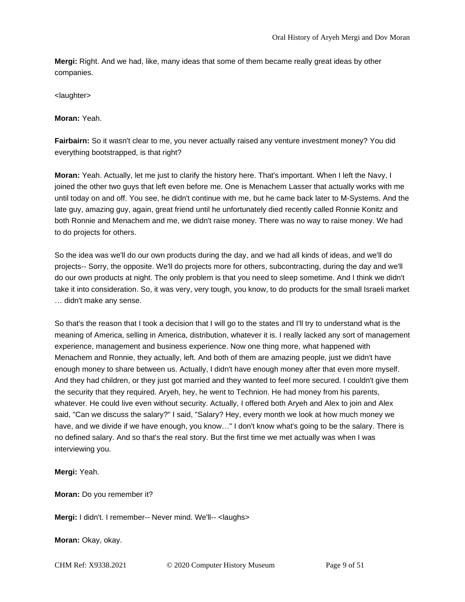**Mergi:** Right. And we had, like, many ideas that some of them became really great ideas by other companies.

<laughter>

**Moran:** Yeah.

**Fairbairn:** So it wasn't clear to me, you never actually raised any venture investment money? You did everything bootstrapped, is that right?

**Moran:** Yeah. Actually, let me just to clarify the history here. That's important. When I left the Navy, I joined the other two guys that left even before me. One is Menachem Lasser that actually works with me until today on and off. You see, he didn't continue with me, but he came back later to M-Systems. And the late guy, amazing guy, again, great friend until he unfortunately died recently called Ronnie Konitz and both Ronnie and Menachem and me, we didn't raise money. There was no way to raise money. We had to do projects for others.

So the idea was we'll do our own products during the day, and we had all kinds of ideas, and we'll do projects-- Sorry, the opposite. We'll do projects more for others, subcontracting, during the day and we'll do our own products at night. The only problem is that you need to sleep sometime. And I think we didn't take it into consideration. So, it was very, very tough, you know, to do products for the small Israeli market … didn't make any sense.

So that's the reason that I took a decision that I will go to the states and I'll try to understand what is the meaning of America, selling in America, distribution, whatever it is. I really lacked any sort of management experience, management and business experience. Now one thing more, what happened with Menachem and Ronnie, they actually, left. And both of them are amazing people, just we didn't have enough money to share between us. Actually, I didn't have enough money after that even more myself. And they had children, or they just got married and they wanted to feel more secured. I couldn't give them the security that they required. Aryeh, hey, he went to Technion. He had money from his parents, whatever. He could live even without security. Actually, I offered both Aryeh and Alex to join and Alex said, "Can we discuss the salary?" I said, "Salary? Hey, every month we look at how much money we have, and we divide if we have enough, you know…" I don't know what's going to be the salary. There is no defined salary. And so that's the real story. But the first time we met actually was when I was interviewing you.

**Mergi:** Yeah.

**Moran:** Do you remember it?

**Mergi:** I didn't. I remember-- Never mind. We'll-- <laughs>

**Moran:** Okay, okay.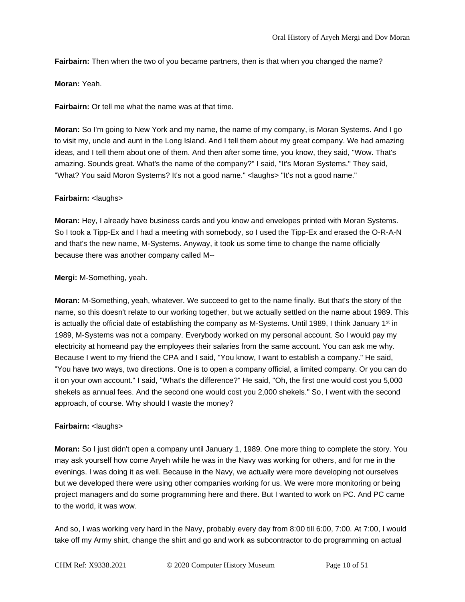**Fairbairn:** Then when the two of you became partners, then is that when you changed the name?

**Moran:** Yeah.

**Fairbairn:** Or tell me what the name was at that time.

**Moran:** So I'm going to New York and my name, the name of my company, is Moran Systems. And I go to visit my, uncle and aunt in the Long Island. And I tell them about my great company. We had amazing ideas, and I tell them about one of them. And then after some time, you know, they said, "Wow. That's amazing. Sounds great. What's the name of the company?" I said, "It's Moran Systems." They said, "What? You said Moron Systems? It's not a good name." <laughs> "It's not a good name."

# **Fairbairn:** <laughs>

**Moran:** Hey, I already have business cards and you know and envelopes printed with Moran Systems. So I took a Tipp-Ex and I had a meeting with somebody, so I used the Tipp-Ex and erased the O-R-A-N and that's the new name, M-Systems. Anyway, it took us some time to change the name officially because there was another company called M--

# **Mergi:** M-Something, yeah.

**Moran:** M-Something, yeah, whatever. We succeed to get to the name finally. But that's the story of the name, so this doesn't relate to our working together, but we actually settled on the name about 1989. This is actually the official date of establishing the company as M-Systems. Until 1989, I think January 1<sup>st</sup> in 1989, M-Systems was not a company. Everybody worked on my personal account. So I would pay my electricity at homeand pay the employees their salaries from the same account. You can ask me why. Because I went to my friend the CPA and I said, "You know, I want to establish a company." He said, "You have two ways, two directions. One is to open a company official, a limited company. Or you can do it on your own account." I said, "What's the difference?" He said, "Oh, the first one would cost you 5,000 shekels as annual fees. And the second one would cost you 2,000 shekels." So, I went with the second approach, of course. Why should I waste the money?

# **Fairbairn:** <laughs>

**Moran:** So I just didn't open a company until January 1, 1989. One more thing to complete the story. You may ask yourself how come Aryeh while he was in the Navy was working for others, and for me in the evenings. I was doing it as well. Because in the Navy, we actually were more developing not ourselves but we developed there were using other companies working for us. We were more monitoring or being project managers and do some programming here and there. But I wanted to work on PC. And PC came to the world, it was wow.

And so, I was working very hard in the Navy, probably every day from 8:00 till 6:00, 7:00. At 7:00, I would take off my Army shirt, change the shirt and go and work as subcontractor to do programming on actual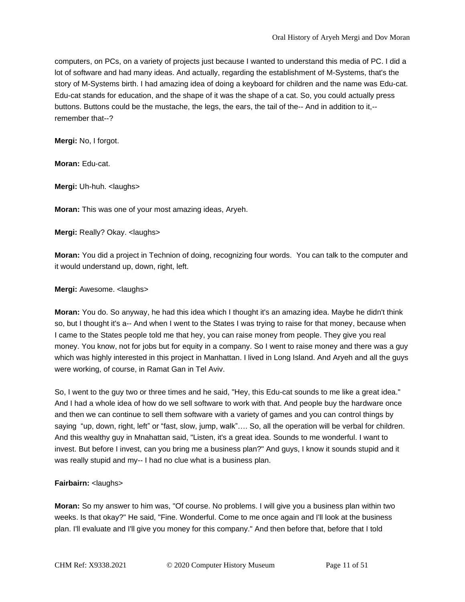computers, on PCs, on a variety of projects just because I wanted to understand this media of PC. I did a lot of software and had many ideas. And actually, regarding the establishment of M-Systems, that's the story of M-Systems birth. I had amazing idea of doing a keyboard for children and the name was Edu-cat. Edu-cat stands for education, and the shape of it was the shape of a cat. So, you could actually press buttons. Buttons could be the mustache, the legs, the ears, the tail of the-- And in addition to it,- remember that--?

**Mergi:** No, I forgot.

**Moran:** Edu-cat.

**Mergi:** Uh-huh. <laughs>

**Moran:** This was one of your most amazing ideas, Aryeh.

**Mergi:** Really? Okay. <laughs>

**Moran:** You did a project in Technion of doing, recognizing four words. You can talk to the computer and it would understand up, down, right, left.

**Mergi:** Awesome. <laughs>

**Moran:** You do. So anyway, he had this idea which I thought it's an amazing idea. Maybe he didn't think so, but I thought it's a-- And when I went to the States I was trying to raise for that money, because when I came to the States people told me that hey, you can raise money from people. They give you real money. You know, not for jobs but for equity in a company. So I went to raise money and there was a guy which was highly interested in this project in Manhattan. I lived in Long Island. And Aryeh and all the guys were working, of course, in Ramat Gan in Tel Aviv.

So, I went to the guy two or three times and he said, "Hey, this Edu-cat sounds to me like a great idea." And I had a whole idea of how do we sell software to work with that. And people buy the hardware once and then we can continue to sell them software with a variety of games and you can control things by saying "up, down, right, left" or "fast, slow, jump, walk"…. So, all the operation will be verbal for children. And this wealthy guy in Mnahattan said, "Listen, it's a great idea. Sounds to me wonderful. I want to invest. But before I invest, can you bring me a business plan?" And guys, I know it sounds stupid and it was really stupid and my-- I had no clue what is a business plan.

# **Fairbairn:** <laughs>

**Moran:** So my answer to him was, "Of course. No problems. I will give you a business plan within two weeks. Is that okay?" He said, "Fine. Wonderful. Come to me once again and I'll look at the business plan. I'll evaluate and I'll give you money for this company." And then before that, before that I told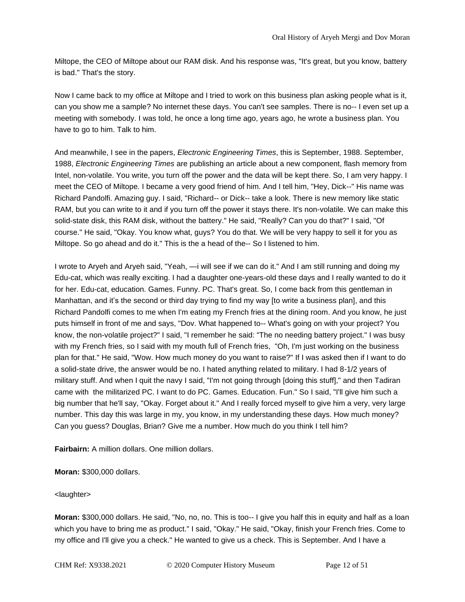Miltope, the CEO of Miltope about our RAM disk. And his response was, "It's great, but you know, battery is bad." That's the story.

Now I came back to my office at Miltope and I tried to work on this business plan asking people what is it, can you show me a sample? No internet these days. You can't see samples. There is no-- I even set up a meeting with somebody. I was told, he once a long time ago, years ago, he wrote a business plan. You have to go to him. Talk to him.

And meanwhile, I see in the papers, *Electronic Engineering Times*, this is September, 1988. September, 1988, *Electronic Engineering Times* are publishing an article about a new component, flash memory from Intel, non-volatile. You write, you turn off the power and the data will be kept there. So, I am very happy. I meet the CEO of Miltope. I became a very good friend of him. And I tell him, "Hey, Dick--" His name was Richard Pandolfi. Amazing guy. I said, "Richard-- or Dick-- take a look. There is new memory like static RAM, but you can write to it and if you turn off the power it stays there. It's non-volatile. We can make this solid-state disk, this RAM disk, without the battery." He said, "Really? Can you do that?" I said, "Of course." He said, "Okay. You know what, guys? You do that. We will be very happy to sell it for you as Miltope. So go ahead and do it." This is the a head of the-- So I listened to him.

I wrote to Aryeh and Aryeh said, "Yeah, —i will see if we can do it." And I am still running and doing my Edu-cat, which was really exciting. I had a daughter one-years-old these days and I really wanted to do it for her. Edu-cat, education. Games. Funny. PC. That's great. So, I come back from this gentleman in Manhattan, and it's the second or third day trying to find my way [to write a business plan], and this Richard Pandolfi comes to me when I'm eating my French fries at the dining room. And you know, he just puts himself in front of me and says, "Dov. What happened to-- What's going on with your project? You know, the non-volatile project?" I said, "I remember he said: "The no needing battery project." I was busy with my French fries, so I said with my mouth full of French fries, "Oh, I'm just working on the business plan for that." He said, "Wow. How much money do you want to raise?" If I was asked then if I want to do a solid-state drive, the answer would be no. I hated anything related to military. I had 8-1/2 years of military stuff. And when I quit the navy I said, "I'm not going through [doing this stuff]," and then Tadiran came with the militarized PC. I want to do PC. Games. Education. Fun." So I said, "I'll give him such a big number that he'll say, "Okay. Forget about it." And I really forced myself to give him a very, very large number. This day this was large in my, you know, in my understanding these days. How much money? Can you guess? Douglas, Brian? Give me a number. How much do you think I tell him?

**Fairbairn:** A million dollars. One million dollars.

**Moran:** \$300,000 dollars.

#### <laughter>

**Moran:** \$300,000 dollars. He said, "No, no, no. This is too-- I give you half this in equity and half as a loan which you have to bring me as product." I said, "Okay." He said, "Okay, finish your French fries. Come to my office and I'll give you a check." He wanted to give us a check. This is September. And I have a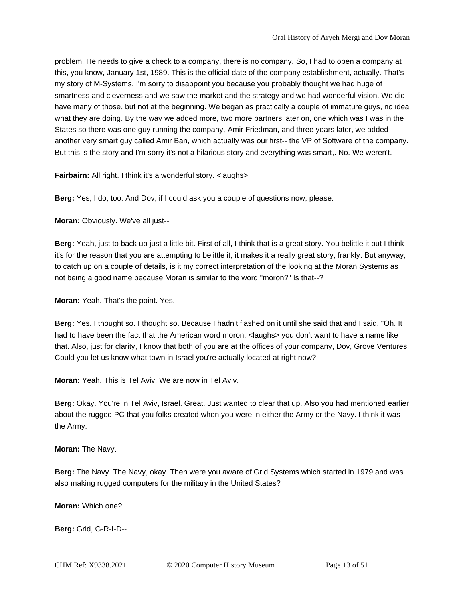problem. He needs to give a check to a company, there is no company. So, I had to open a company at this, you know, January 1st, 1989. This is the official date of the company establishment, actually. That's my story of M-Systems. I'm sorry to disappoint you because you probably thought we had huge of smartness and cleverness and we saw the market and the strategy and we had wonderful vision. We did have many of those, but not at the beginning. We began as practically a couple of immature guys, no idea what they are doing. By the way we added more, two more partners later on, one which was I was in the States so there was one guy running the company, Amir Friedman, and three years later, we added another very smart guy called Amir Ban, which actually was our first-- the VP of Software of the company. But this is the story and I'm sorry it's not a hilarious story and everything was smart,. No. We weren't.

**Fairbairn:** All right. I think it's a wonderful story. < laughs>

**Berg:** Yes, I do, too. And Dov, if I could ask you a couple of questions now, please.

**Moran:** Obviously. We've all just--

**Berg:** Yeah, just to back up just a little bit. First of all, I think that is a great story. You belittle it but I think it's for the reason that you are attempting to belittle it, it makes it a really great story, frankly. But anyway, to catch up on a couple of details, is it my correct interpretation of the looking at the Moran Systems as not being a good name because Moran is similar to the word "moron?" Is that--?

**Moran:** Yeah. That's the point. Yes.

**Berg:** Yes. I thought so. I thought so. Because I hadn't flashed on it until she said that and I said, "Oh. It had to have been the fact that the American word moron, <laughs> you don't want to have a name like that. Also, just for clarity, I know that both of you are at the offices of your company, Dov, Grove Ventures. Could you let us know what town in Israel you're actually located at right now?

**Moran:** Yeah. This is Tel Aviv. We are now in Tel Aviv.

**Berg:** Okay. You're in Tel Aviv, Israel. Great. Just wanted to clear that up. Also you had mentioned earlier about the rugged PC that you folks created when you were in either the Army or the Navy. I think it was the Army.

**Moran:** The Navy.

**Berg:** The Navy. The Navy, okay. Then were you aware of Grid Systems which started in 1979 and was also making rugged computers for the military in the United States?

**Moran:** Which one?

**Berg:** Grid, G-R-I-D--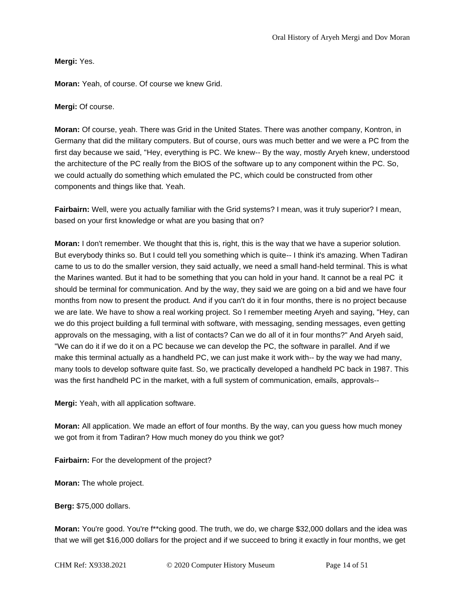**Mergi:** Yes.

**Moran:** Yeah, of course. Of course we knew Grid.

**Mergi:** Of course.

**Moran:** Of course, yeah. There was Grid in the United States. There was another company, Kontron, in Germany that did the military computers. But of course, ours was much better and we were a PC from the first day because we said, "Hey, everything is PC. We knew-- By the way, mostly Aryeh knew, understood the architecture of the PC really from the BIOS of the software up to any component within the PC. So, we could actually do something which emulated the PC, which could be constructed from other components and things like that. Yeah.

**Fairbairn:** Well, were you actually familiar with the Grid systems? I mean, was it truly superior? I mean, based on your first knowledge or what are you basing that on?

**Moran:** I don't remember. We thought that this is, right, this is the way that we have a superior solution. But everybody thinks so. But I could tell you something which is quite-- I think it's amazing. When Tadiran came to us to do the smaller version, they said actually, we need a small hand-held terminal. This is what the Marines wanted. But it had to be something that you can hold in your hand. It cannot be a real PC it should be terminal for communication. And by the way, they said we are going on a bid and we have four months from now to present the product. And if you can't do it in four months, there is no project because we are late. We have to show a real working project. So I remember meeting Aryeh and saying, "Hey, can we do this project building a full terminal with software, with messaging, sending messages, even getting approvals on the messaging, with a list of contacts? Can we do all of it in four months?" And Aryeh said, "We can do it if we do it on a PC because we can develop the PC, the software in parallel. And if we make this terminal actually as a handheld PC, we can just make it work with-- by the way we had many, many tools to develop software quite fast. So, we practically developed a handheld PC back in 1987. This was the first handheld PC in the market, with a full system of communication, emails, approvals--

**Mergi:** Yeah, with all application software.

**Moran:** All application. We made an effort of four months. By the way, can you guess how much money we got from it from Tadiran? How much money do you think we got?

**Fairbairn:** For the development of the project?

**Moran:** The whole project.

**Berg:** \$75,000 dollars.

**Moran:** You're good. You're f\*\*cking good. The truth, we do, we charge \$32,000 dollars and the idea was that we will get \$16,000 dollars for the project and if we succeed to bring it exactly in four months, we get

CHM Ref: X9338.2021 © 2020 Computer History Museum Page 14 of 51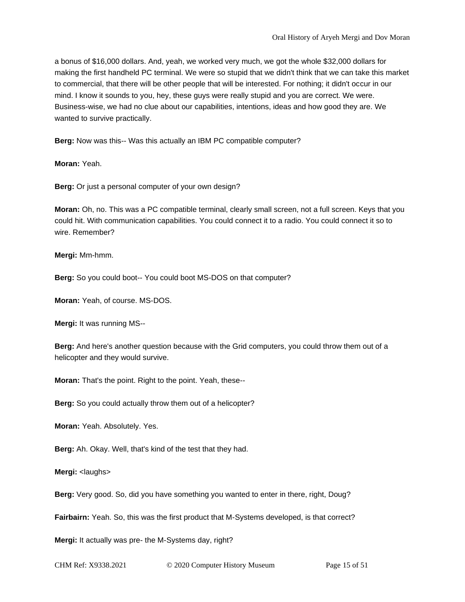a bonus of \$16,000 dollars. And, yeah, we worked very much, we got the whole \$32,000 dollars for making the first handheld PC terminal. We were so stupid that we didn't think that we can take this market to commercial, that there will be other people that will be interested. For nothing; it didn't occur in our mind. I know it sounds to you, hey, these guys were really stupid and you are correct. We were. Business-wise, we had no clue about our capabilities, intentions, ideas and how good they are. We wanted to survive practically.

**Berg:** Now was this-- Was this actually an IBM PC compatible computer?

**Moran:** Yeah.

**Berg:** Or just a personal computer of your own design?

**Moran:** Oh, no. This was a PC compatible terminal, clearly small screen, not a full screen. Keys that you could hit. With communication capabilities. You could connect it to a radio. You could connect it so to wire. Remember?

**Mergi:** Mm-hmm.

**Berg:** So you could boot-- You could boot MS-DOS on that computer?

**Moran:** Yeah, of course. MS-DOS.

**Mergi:** It was running MS--

**Berg:** And here's another question because with the Grid computers, you could throw them out of a helicopter and they would survive.

**Moran:** That's the point. Right to the point. Yeah, these--

**Berg:** So you could actually throw them out of a helicopter?

**Moran:** Yeah. Absolutely. Yes.

**Berg:** Ah. Okay. Well, that's kind of the test that they had.

**Mergi:** <laughs>

**Berg:** Very good. So, did you have something you wanted to enter in there, right, Doug?

**Fairbairn:** Yeah. So, this was the first product that M-Systems developed, is that correct?

**Mergi:** It actually was pre- the M-Systems day, right?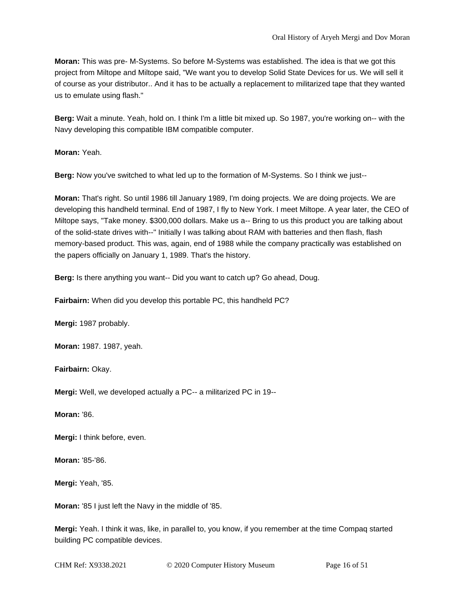**Moran:** This was pre- M-Systems. So before M-Systems was established. The idea is that we got this project from Miltope and Miltope said, "We want you to develop Solid State Devices for us. We will sell it of course as your distributor.. And it has to be actually a replacement to militarized tape that they wanted us to emulate using flash."

**Berg:** Wait a minute. Yeah, hold on. I think I'm a little bit mixed up. So 1987, you're working on-- with the Navy developing this compatible IBM compatible computer.

**Moran:** Yeah.

**Berg:** Now you've switched to what led up to the formation of M-Systems. So I think we just--

**Moran:** That's right. So until 1986 till January 1989, I'm doing projects. We are doing projects. We are developing this handheld terminal. End of 1987, I fly to New York. I meet Miltope. A year later, the CEO of Miltope says, "Take money. \$300,000 dollars. Make us a-- Bring to us this product you are talking about of the solid-state drives with--" Initially I was talking about RAM with batteries and then flash, flash memory-based product. This was, again, end of 1988 while the company practically was established on the papers officially on January 1, 1989. That's the history.

**Berg:** Is there anything you want-- Did you want to catch up? Go ahead, Doug.

**Fairbairn:** When did you develop this portable PC, this handheld PC?

**Mergi:** 1987 probably.

**Moran:** 1987. 1987, yeah.

**Fairbairn:** Okay.

**Mergi:** Well, we developed actually a PC-- a militarized PC in 19--

**Moran:** '86.

**Mergi:** I think before, even.

**Moran:** '85-'86.

**Mergi:** Yeah, '85.

**Moran:** '85 I just left the Navy in the middle of '85.

**Mergi:** Yeah. I think it was, like, in parallel to, you know, if you remember at the time Compaq started building PC compatible devices.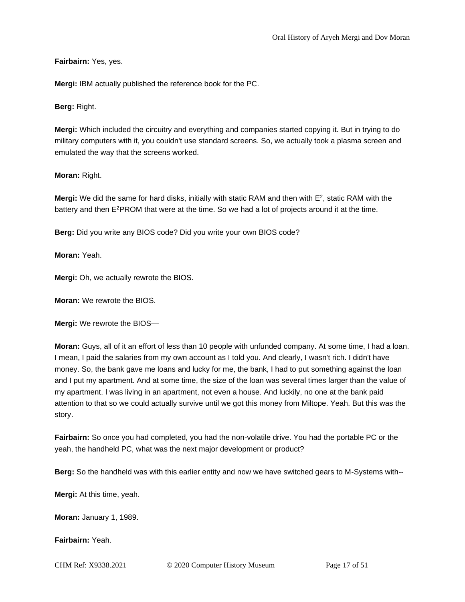## **Fairbairn:** Yes, yes.

**Mergi:** IBM actually published the reference book for the PC.

**Berg:** Right.

**Mergi:** Which included the circuitry and everything and companies started copying it. But in trying to do military computers with it, you couldn't use standard screens. So, we actually took a plasma screen and emulated the way that the screens worked.

# **Moran:** Right.

**Mergi:** We did the same for hard disks, initially with static RAM and then with E<sup>2</sup>, static RAM with the battery and then E<sup>2</sup>PROM that were at the time. So we had a lot of projects around it at the time.

**Berg:** Did you write any BIOS code? Did you write your own BIOS code?

**Moran:** Yeah.

**Mergi:** Oh, we actually rewrote the BIOS.

**Moran:** We rewrote the BIOS.

**Mergi:** We rewrote the BIOS—

**Moran:** Guys, all of it an effort of less than 10 people with unfunded company. At some time, I had a loan. I mean, I paid the salaries from my own account as I told you. And clearly, I wasn't rich. I didn't have money. So, the bank gave me loans and lucky for me, the bank, I had to put something against the loan and I put my apartment. And at some time, the size of the loan was several times larger than the value of my apartment. I was living in an apartment, not even a house. And luckily, no one at the bank paid attention to that so we could actually survive until we got this money from Miltope. Yeah. But this was the story.

**Fairbairn:** So once you had completed, you had the non-volatile drive. You had the portable PC or the yeah, the handheld PC, what was the next major development or product?

**Berg:** So the handheld was with this earlier entity and now we have switched gears to M-Systems with--

**Mergi:** At this time, yeah.

**Moran:** January 1, 1989.

**Fairbairn:** Yeah.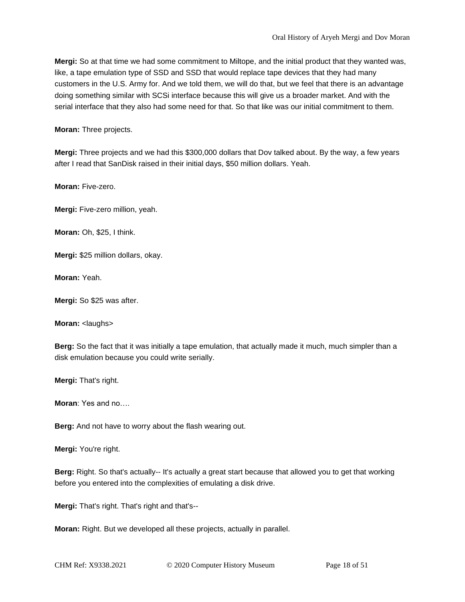**Mergi:** So at that time we had some commitment to Miltope, and the initial product that they wanted was, like, a tape emulation type of SSD and SSD that would replace tape devices that they had many customers in the U.S. Army for. And we told them, we will do that, but we feel that there is an advantage doing something similar with SCSi interface because this will give us a broader market. And with the serial interface that they also had some need for that. So that like was our initial commitment to them.

**Moran:** Three projects.

**Mergi:** Three projects and we had this \$300,000 dollars that Dov talked about. By the way, a few years after I read that SanDisk raised in their initial days, \$50 million dollars. Yeah.

**Moran:** Five-zero.

**Mergi:** Five-zero million, yeah.

**Moran:** Oh, \$25, I think.

**Mergi:** \$25 million dollars, okay.

**Moran:** Yeah.

**Mergi:** So \$25 was after.

**Moran:** <laughs>

**Berg:** So the fact that it was initially a tape emulation, that actually made it much, much simpler than a disk emulation because you could write serially.

**Mergi:** That's right.

**Moran**: Yes and no….

**Berg:** And not have to worry about the flash wearing out.

**Mergi:** You're right.

**Berg:** Right. So that's actually-- It's actually a great start because that allowed you to get that working before you entered into the complexities of emulating a disk drive.

**Mergi:** That's right. That's right and that's--

**Moran:** Right. But we developed all these projects, actually in parallel.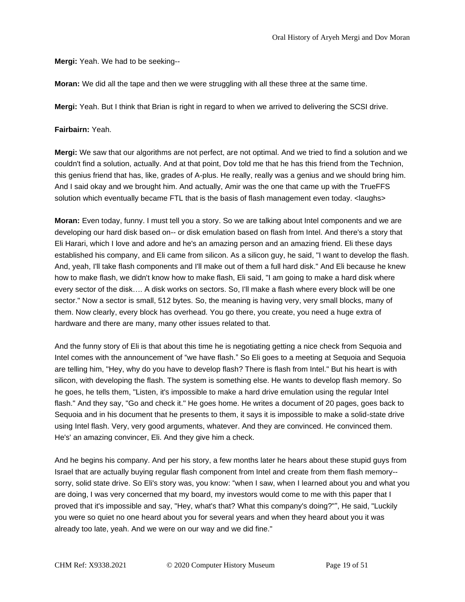**Mergi:** Yeah. We had to be seeking--

**Moran:** We did all the tape and then we were struggling with all these three at the same time.

**Mergi:** Yeah. But I think that Brian is right in regard to when we arrived to delivering the SCSI drive.

#### **Fairbairn:** Yeah.

**Mergi:** We saw that our algorithms are not perfect, are not optimal. And we tried to find a solution and we couldn't find a solution, actually. And at that point, Dov told me that he has this friend from the Technion, this genius friend that has, like, grades of A-plus. He really, really was a genius and we should bring him. And I said okay and we brought him. And actually, Amir was the one that came up with the TrueFFS solution which eventually became FTL that is the basis of flash management even today. <laughs>

**Moran:** Even today, funny. I must tell you a story. So we are talking about Intel components and we are developing our hard disk based on-- or disk emulation based on flash from Intel. And there's a story that Eli Harari, which I love and adore and he's an amazing person and an amazing friend. Eli these days established his company, and Eli came from silicon. As a silicon guy, he said, "I want to develop the flash. And, yeah, I'll take flash components and I'll make out of them a full hard disk." And Eli because he knew how to make flash, we didn't know how to make flash, Eli said, "I am going to make a hard disk where every sector of the disk…. A disk works on sectors. So, I'll make a flash where every block will be one sector." Now a sector is small, 512 bytes. So, the meaning is having very, very small blocks, many of them. Now clearly, every block has overhead. You go there, you create, you need a huge extra of hardware and there are many, many other issues related to that.

And the funny story of Eli is that about this time he is negotiating getting a nice check from Sequoia and Intel comes with the announcement of "we have flash." So Eli goes to a meeting at Sequoia and Sequoia are telling him, "Hey, why do you have to develop flash? There is flash from Intel." But his heart is with silicon, with developing the flash. The system is something else. He wants to develop flash memory. So he goes, he tells them, "Listen, it's impossible to make a hard drive emulation using the regular Intel flash." And they say, "Go and check it." He goes home. He writes a document of 20 pages, goes back to Sequoia and in his document that he presents to them, it says it is impossible to make a solid-state drive using Intel flash. Very, very good arguments, whatever. And they are convinced. He convinced them. He's' an amazing convincer, Eli. And they give him a check.

And he begins his company. And per his story, a few months later he hears about these stupid guys from Israel that are actually buying regular flash component from Intel and create from them flash memory- sorry, solid state drive. So Eli's story was, you know: "when I saw, when I learned about you and what you are doing, I was very concerned that my board, my investors would come to me with this paper that I proved that it's impossible and say, "Hey, what's that? What this company's doing?"", He said, "Luckily you were so quiet no one heard about you for several years and when they heard about you it was already too late, yeah. And we were on our way and we did fine."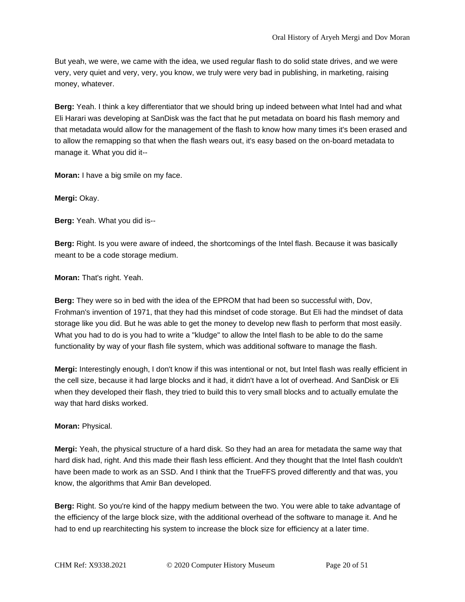But yeah, we were, we came with the idea, we used regular flash to do solid state drives, and we were very, very quiet and very, very, you know, we truly were very bad in publishing, in marketing, raising money, whatever.

**Berg:** Yeah. I think a key differentiator that we should bring up indeed between what Intel had and what Eli Harari was developing at SanDisk was the fact that he put metadata on board his flash memory and that metadata would allow for the management of the flash to know how many times it's been erased and to allow the remapping so that when the flash wears out, it's easy based on the on-board metadata to manage it. What you did it--

**Moran:** I have a big smile on my face.

**Mergi:** Okay.

**Berg:** Yeah. What you did is--

**Berg:** Right. Is you were aware of indeed, the shortcomings of the Intel flash. Because it was basically meant to be a code storage medium.

**Moran:** That's right. Yeah.

**Berg:** They were so in bed with the idea of the EPROM that had been so successful with, Dov, Frohman's invention of 1971, that they had this mindset of code storage. But Eli had the mindset of data storage like you did. But he was able to get the money to develop new flash to perform that most easily. What you had to do is you had to write a "kludge" to allow the Intel flash to be able to do the same functionality by way of your flash file system, which was additional software to manage the flash.

**Mergi:** Interestingly enough, I don't know if this was intentional or not, but Intel flash was really efficient in the cell size, because it had large blocks and it had, it didn't have a lot of overhead. And SanDisk or Eli when they developed their flash, they tried to build this to very small blocks and to actually emulate the way that hard disks worked.

# **Moran:** Physical.

**Mergi:** Yeah, the physical structure of a hard disk. So they had an area for metadata the same way that hard disk had, right. And this made their flash less efficient. And they thought that the Intel flash couldn't have been made to work as an SSD. And I think that the TrueFFS proved differently and that was, you know, the algorithms that Amir Ban developed.

**Berg:** Right. So you're kind of the happy medium between the two. You were able to take advantage of the efficiency of the large block size, with the additional overhead of the software to manage it. And he had to end up rearchitecting his system to increase the block size for efficiency at a later time.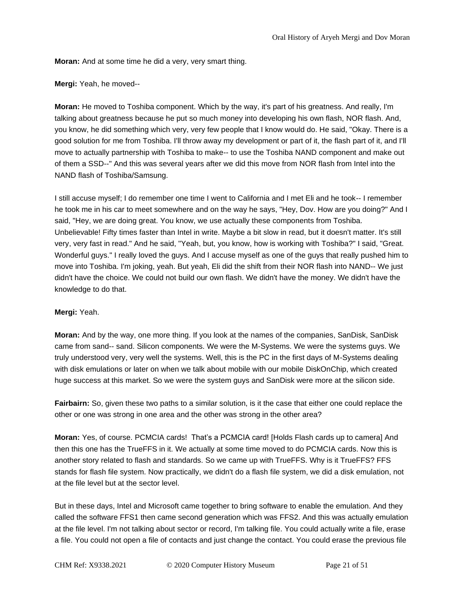**Moran:** And at some time he did a very, very smart thing.

**Mergi:** Yeah, he moved--

**Moran:** He moved to Toshiba component. Which by the way, it's part of his greatness. And really, I'm talking about greatness because he put so much money into developing his own flash, NOR flash. And, you know, he did something which very, very few people that I know would do. He said, "Okay. There is a good solution for me from Toshiba. I'll throw away my development or part of it, the flash part of it, and I'll move to actually partnership with Toshiba to make-- to use the Toshiba NAND component and make out of them a SSD--" And this was several years after we did this move from NOR flash from Intel into the NAND flash of Toshiba/Samsung.

I still accuse myself; I do remember one time I went to California and I met Eli and he took-- I remember he took me in his car to meet somewhere and on the way he says, "Hey, Dov. How are you doing?" And I said, "Hey, we are doing great. You know, we use actually these components from Toshiba. Unbelievable! Fifty times faster than Intel in write. Maybe a bit slow in read, but it doesn't matter. It's still very, very fast in read." And he said, "Yeah, but, you know, how is working with Toshiba?" I said, "Great. Wonderful guys." I really loved the guys. And I accuse myself as one of the guys that really pushed him to move into Toshiba. I'm joking, yeah. But yeah, Eli did the shift from their NOR flash into NAND-- We just didn't have the choice. We could not build our own flash. We didn't have the money. We didn't have the knowledge to do that.

## **Mergi:** Yeah.

**Moran:** And by the way, one more thing. If you look at the names of the companies, SanDisk, SanDisk came from sand-- sand. Silicon components. We were the M-Systems. We were the systems guys. We truly understood very, very well the systems. Well, this is the PC in the first days of M-Systems dealing with disk emulations or later on when we talk about mobile with our mobile DiskOnChip, which created huge success at this market. So we were the system guys and SanDisk were more at the silicon side.

**Fairbairn:** So, given these two paths to a similar solution, is it the case that either one could replace the other or one was strong in one area and the other was strong in the other area?

**Moran:** Yes, of course. PCMCIA cards! That's a PCMCIA card! [Holds Flash cards up to camera] And then this one has the TrueFFS in it. We actually at some time moved to do PCMCIA cards. Now this is another story related to flash and standards. So we came up with TrueFFS. Why is it TrueFFS? FFS stands for flash file system. Now practically, we didn't do a flash file system, we did a disk emulation, not at the file level but at the sector level.

But in these days, Intel and Microsoft came together to bring software to enable the emulation. And they called the software FFS1 then came second generation which was FFS2. And this was actually emulation at the file level. I'm not talking about sector or record, I'm talking file. You could actually write a file, erase a file. You could not open a file of contacts and just change the contact. You could erase the previous file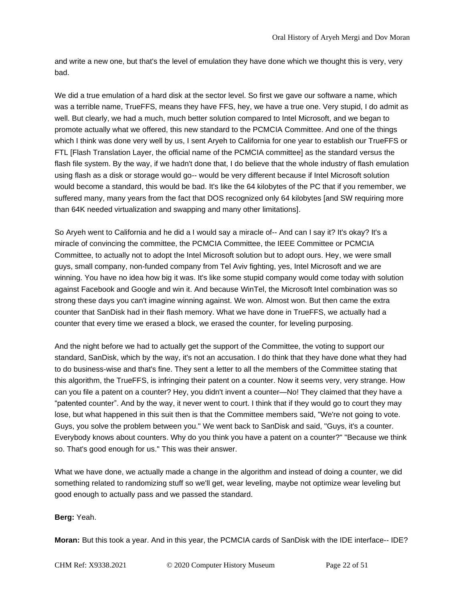and write a new one, but that's the level of emulation they have done which we thought this is very, very bad.

We did a true emulation of a hard disk at the sector level. So first we gave our software a name, which was a terrible name, TrueFFS, means they have FFS, hey, we have a true one. Very stupid, I do admit as well. But clearly, we had a much, much better solution compared to Intel Microsoft, and we began to promote actually what we offered, this new standard to the PCMCIA Committee. And one of the things which I think was done very well by us, I sent Aryeh to California for one year to establish our TrueFFS or FTL [Flash Translation Layer, the official name of the PCMCIA committee] as the standard versus the flash file system. By the way, if we hadn't done that, I do believe that the whole industry of flash emulation using flash as a disk or storage would go-- would be very different because if Intel Microsoft solution would become a standard, this would be bad. It's like the 64 kilobytes of the PC that if you remember, we suffered many, many years from the fact that DOS recognized only 64 kilobytes [and SW requiring more than 64K needed virtualization and swapping and many other limitations].

So Aryeh went to California and he did a I would say a miracle of-- And can I say it? It's okay? It's a miracle of convincing the committee, the PCMCIA Committee, the IEEE Committee or PCMCIA Committee, to actually not to adopt the Intel Microsoft solution but to adopt ours. Hey, we were small guys, small company, non-funded company from Tel Aviv fighting, yes, Intel Microsoft and we are winning. You have no idea how big it was. It's like some stupid company would come today with solution against Facebook and Google and win it. And because WinTel, the Microsoft Intel combination was so strong these days you can't imagine winning against. We won. Almost won. But then came the extra counter that SanDisk had in their flash memory. What we have done in TrueFFS, we actually had a counter that every time we erased a block, we erased the counter, for leveling purposing.

And the night before we had to actually get the support of the Committee, the voting to support our standard, SanDisk, which by the way, it's not an accusation. I do think that they have done what they had to do business-wise and that's fine. They sent a letter to all the members of the Committee stating that this algorithm, the TrueFFS, is infringing their patent on a counter. Now it seems very, very strange. How can you file a patent on a counter? Hey, you didn't invent a counter—No! They claimed that they have a "patented counter". And by the way, it never went to court. I think that if they would go to court they may lose, but what happened in this suit then is that the Committee members said, "We're not going to vote. Guys, you solve the problem between you." We went back to SanDisk and said, "Guys, it's a counter. Everybody knows about counters. Why do you think you have a patent on a counter?" "Because we think so. That's good enough for us." This was their answer.

What we have done, we actually made a change in the algorithm and instead of doing a counter, we did something related to randomizing stuff so we'll get, wear leveling, maybe not optimize wear leveling but good enough to actually pass and we passed the standard.

**Berg:** Yeah.

**Moran:** But this took a year. And in this year, the PCMCIA cards of SanDisk with the IDE interface-- IDE?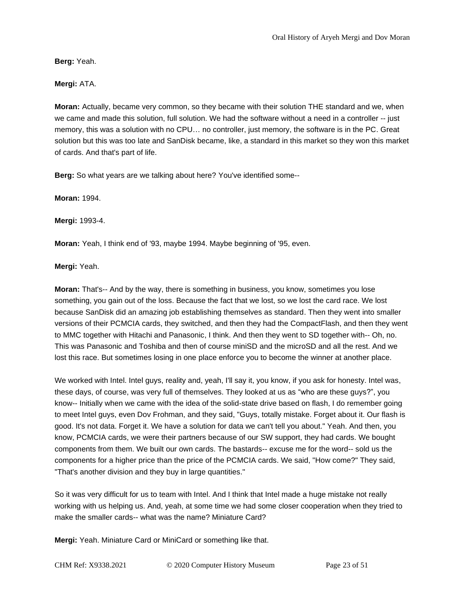**Berg:** Yeah.

# **Mergi:** ATA.

**Moran:** Actually, became very common, so they became with their solution THE standard and we, when we came and made this solution, full solution. We had the software without a need in a controller -- just memory, this was a solution with no CPU… no controller, just memory, the software is in the PC. Great solution but this was too late and SanDisk became, like, a standard in this market so they won this market of cards. And that's part of life.

**Berg:** So what years are we talking about here? You've identified some--

**Moran:** 1994.

**Mergi:** 1993-4.

**Moran:** Yeah, I think end of '93, maybe 1994. Maybe beginning of '95, even.

**Mergi:** Yeah.

**Moran:** That's-- And by the way, there is something in business, you know, sometimes you lose something, you gain out of the loss. Because the fact that we lost, so we lost the card race. We lost because SanDisk did an amazing job establishing themselves as standard. Then they went into smaller versions of their PCMCIA cards, they switched, and then they had the CompactFlash, and then they went to MMC together with Hitachi and Panasonic, I think. And then they went to SD together with-- Oh, no. This was Panasonic and Toshiba and then of course miniSD and the microSD and all the rest. And we lost this race. But sometimes losing in one place enforce you to become the winner at another place.

We worked with Intel. Intel guys, reality and, yeah, I'll say it, you know, if you ask for honesty. Intel was, these days, of course, was very full of themselves. They looked at us as "who are these guys?", you know-- Initially when we came with the idea of the solid-state drive based on flash, I do remember going to meet Intel guys, even Dov Frohman, and they said, "Guys, totally mistake. Forget about it. Our flash is good. It's not data. Forget it. We have a solution for data we can't tell you about." Yeah. And then, you know, PCMCIA cards, we were their partners because of our SW support, they had cards. We bought components from them. We built our own cards. The bastards-- excuse me for the word-- sold us the components for a higher price than the price of the PCMCIA cards. We said, "How come?" They said, "That's another division and they buy in large quantities."

So it was very difficult for us to team with Intel. And I think that Intel made a huge mistake not really working with us helping us. And, yeah, at some time we had some closer cooperation when they tried to make the smaller cards-- what was the name? Miniature Card?

**Mergi:** Yeah. Miniature Card or MiniCard or something like that.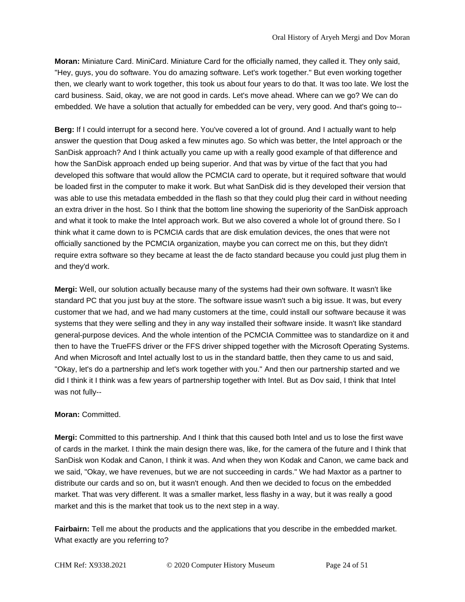**Moran:** Miniature Card. MiniCard. Miniature Card for the officially named, they called it. They only said, "Hey, guys, you do software. You do amazing software. Let's work together." But even working together then, we clearly want to work together, this took us about four years to do that. It was too late. We lost the card business. Said, okay, we are not good in cards. Let's move ahead. Where can we go? We can do embedded. We have a solution that actually for embedded can be very, very good. And that's going to--

**Berg:** If I could interrupt for a second here. You've covered a lot of ground. And I actually want to help answer the question that Doug asked a few minutes ago. So which was better, the Intel approach or the SanDisk approach? And I think actually you came up with a really good example of that difference and how the SanDisk approach ended up being superior. And that was by virtue of the fact that you had developed this software that would allow the PCMCIA card to operate, but it required software that would be loaded first in the computer to make it work. But what SanDisk did is they developed their version that was able to use this metadata embedded in the flash so that they could plug their card in without needing an extra driver in the host. So I think that the bottom line showing the superiority of the SanDisk approach and what it took to make the Intel approach work. But we also covered a whole lot of ground there. So I think what it came down to is PCMCIA cards that are disk emulation devices, the ones that were not officially sanctioned by the PCMCIA organization, maybe you can correct me on this, but they didn't require extra software so they became at least the de facto standard because you could just plug them in and they'd work.

**Mergi:** Well, our solution actually because many of the systems had their own software. It wasn't like standard PC that you just buy at the store. The software issue wasn't such a big issue. It was, but every customer that we had, and we had many customers at the time, could install our software because it was systems that they were selling and they in any way installed their software inside. It wasn't like standard general-purpose devices. And the whole intention of the PCMCIA Committee was to standardize on it and then to have the TrueFFS driver or the FFS driver shipped together with the Microsoft Operating Systems. And when Microsoft and Intel actually lost to us in the standard battle, then they came to us and said, "Okay, let's do a partnership and let's work together with you." And then our partnership started and we did I think it I think was a few years of partnership together with Intel. But as Dov said, I think that Intel was not fully--

## **Moran:** Committed.

**Mergi:** Committed to this partnership. And I think that this caused both Intel and us to lose the first wave of cards in the market. I think the main design there was, like, for the camera of the future and I think that SanDisk won Kodak and Canon, I think it was. And when they won Kodak and Canon, we came back and we said, "Okay, we have revenues, but we are not succeeding in cards." We had Maxtor as a partner to distribute our cards and so on, but it wasn't enough. And then we decided to focus on the embedded market. That was very different. It was a smaller market, less flashy in a way, but it was really a good market and this is the market that took us to the next step in a way.

**Fairbairn:** Tell me about the products and the applications that you describe in the embedded market. What exactly are you referring to?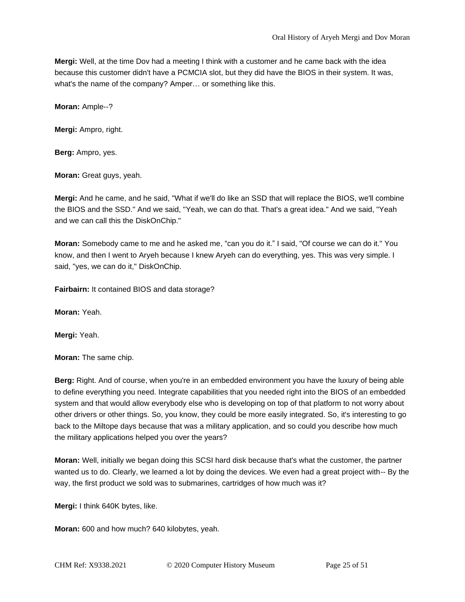**Mergi:** Well, at the time Dov had a meeting I think with a customer and he came back with the idea because this customer didn't have a PCMCIA slot, but they did have the BIOS in their system. It was, what's the name of the company? Amper… or something like this.

**Moran:** Ample--?

**Mergi:** Ampro, right.

**Berg:** Ampro, yes.

**Moran:** Great guys, yeah.

**Mergi:** And he came, and he said, "What if we'll do like an SSD that will replace the BIOS, we'll combine the BIOS and the SSD." And we said, "Yeah, we can do that. That's a great idea." And we said, "Yeah and we can call this the DiskOnChip."

**Moran:** Somebody came to me and he asked me, "can you do it." I said, "Of course we can do it." You know, and then I went to Aryeh because I knew Aryeh can do everything, yes. This was very simple. I said, "yes, we can do it," DiskOnChip.

**Fairbairn:** It contained BIOS and data storage?

**Moran:** Yeah.

**Mergi:** Yeah.

**Moran:** The same chip.

**Berg:** Right. And of course, when you're in an embedded environment you have the luxury of being able to define everything you need. Integrate capabilities that you needed right into the BIOS of an embedded system and that would allow everybody else who is developing on top of that platform to not worry about other drivers or other things. So, you know, they could be more easily integrated. So, it's interesting to go back to the Miltope days because that was a military application, and so could you describe how much the military applications helped you over the years?

**Moran:** Well, initially we began doing this SCSI hard disk because that's what the customer, the partner wanted us to do. Clearly, we learned a lot by doing the devices. We even had a great project with-- By the way, the first product we sold was to submarines, cartridges of how much was it?

**Mergi:** I think 640K bytes, like.

**Moran:** 600 and how much? 640 kilobytes, yeah.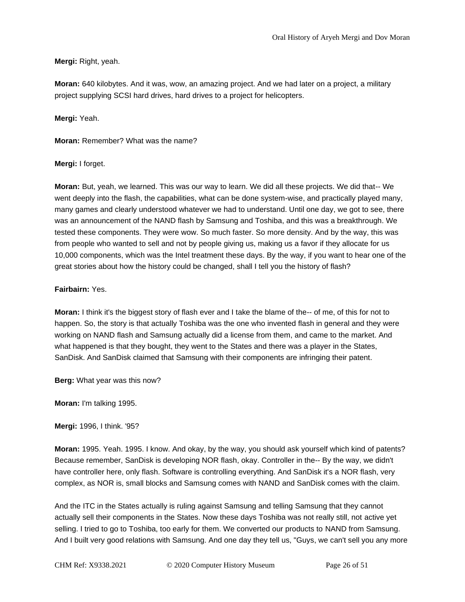**Mergi:** Right, yeah.

**Moran:** 640 kilobytes. And it was, wow, an amazing project. And we had later on a project, a military project supplying SCSI hard drives, hard drives to a project for helicopters.

**Mergi:** Yeah.

**Moran:** Remember? What was the name?

#### **Mergi:** I forget.

**Moran:** But, yeah, we learned. This was our way to learn. We did all these projects. We did that-- We went deeply into the flash, the capabilities, what can be done system-wise, and practically played many, many games and clearly understood whatever we had to understand. Until one day, we got to see, there was an announcement of the NAND flash by Samsung and Toshiba, and this was a breakthrough. We tested these components. They were wow. So much faster. So more density. And by the way, this was from people who wanted to sell and not by people giving us, making us a favor if they allocate for us 10,000 components, which was the Intel treatment these days. By the way, if you want to hear one of the great stories about how the history could be changed, shall I tell you the history of flash?

#### **Fairbairn:** Yes.

**Moran:** I think it's the biggest story of flash ever and I take the blame of the-- of me, of this for not to happen. So, the story is that actually Toshiba was the one who invented flash in general and they were working on NAND flash and Samsung actually did a license from them, and came to the market. And what happened is that they bought, they went to the States and there was a player in the States, SanDisk. And SanDisk claimed that Samsung with their components are infringing their patent.

**Berg:** What year was this now?

**Moran:** I'm talking 1995.

**Mergi:** 1996, I think. '95?

**Moran:** 1995. Yeah. 1995. I know. And okay, by the way, you should ask yourself which kind of patents? Because remember, SanDisk is developing NOR flash, okay. Controller in the-- By the way, we didn't have controller here, only flash. Software is controlling everything. And SanDisk it's a NOR flash, very complex, as NOR is, small blocks and Samsung comes with NAND and SanDisk comes with the claim.

And the ITC in the States actually is ruling against Samsung and telling Samsung that they cannot actually sell their components in the States. Now these days Toshiba was not really still, not active yet selling. I tried to go to Toshiba, too early for them. We converted our products to NAND from Samsung. And I built very good relations with Samsung. And one day they tell us, "Guys, we can't sell you any more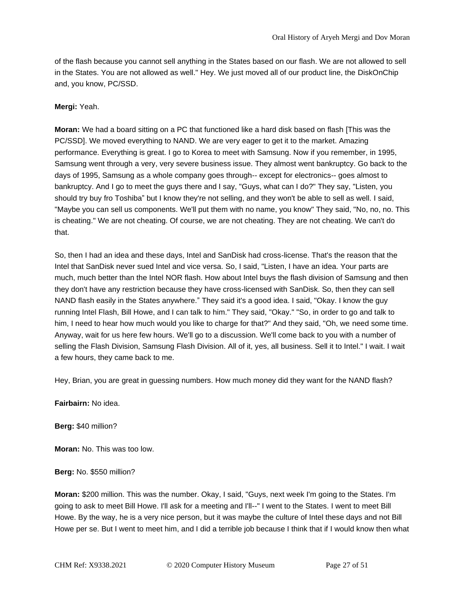of the flash because you cannot sell anything in the States based on our flash. We are not allowed to sell in the States. You are not allowed as well." Hey. We just moved all of our product line, the DiskOnChip and, you know, PC/SSD.

#### **Mergi:** Yeah.

**Moran:** We had a board sitting on a PC that functioned like a hard disk based on flash [This was the PC/SSD]. We moved everything to NAND. We are very eager to get it to the market. Amazing performance. Everything is great. I go to Korea to meet with Samsung. Now if you remember, in 1995, Samsung went through a very, very severe business issue. They almost went bankruptcy. Go back to the days of 1995, Samsung as a whole company goes through-- except for electronics-- goes almost to bankruptcy. And I go to meet the guys there and I say, "Guys, what can I do?" They say, "Listen, you should try buy fro Toshiba" but I know they're not selling, and they won't be able to sell as well. I said, "Maybe you can sell us components. We'll put them with no name, you know" They said, "No, no, no. This is cheating." We are not cheating. Of course, we are not cheating. They are not cheating. We can't do that.

So, then I had an idea and these days, Intel and SanDisk had cross-license. That's the reason that the Intel that SanDisk never sued Intel and vice versa. So, I said, "Listen, I have an idea. Your parts are much, much better than the Intel NOR flash. How about Intel buys the flash division of Samsung and then they don't have any restriction because they have cross-licensed with SanDisk. So, then they can sell NAND flash easily in the States anywhere." They said it's a good idea. I said, "Okay. I know the guy running Intel Flash, Bill Howe, and I can talk to him." They said, "Okay." "So, in order to go and talk to him, I need to hear how much would you like to charge for that?" And they said, "Oh, we need some time. Anyway, wait for us here few hours. We'll go to a discussion. We'll come back to you with a number of selling the Flash Division, Samsung Flash Division. All of it, yes, all business. Sell it to Intel." I wait. I wait a few hours, they came back to me.

Hey, Brian, you are great in guessing numbers. How much money did they want for the NAND flash?

**Fairbairn:** No idea.

**Berg:** \$40 million?

**Moran:** No. This was too low.

**Berg:** No. \$550 million?

**Moran:** \$200 million. This was the number. Okay, I said, "Guys, next week I'm going to the States. I'm going to ask to meet Bill Howe. I'll ask for a meeting and I'll--" I went to the States. I went to meet Bill Howe. By the way, he is a very nice person, but it was maybe the culture of Intel these days and not Bill Howe per se. But I went to meet him, and I did a terrible job because I think that if I would know then what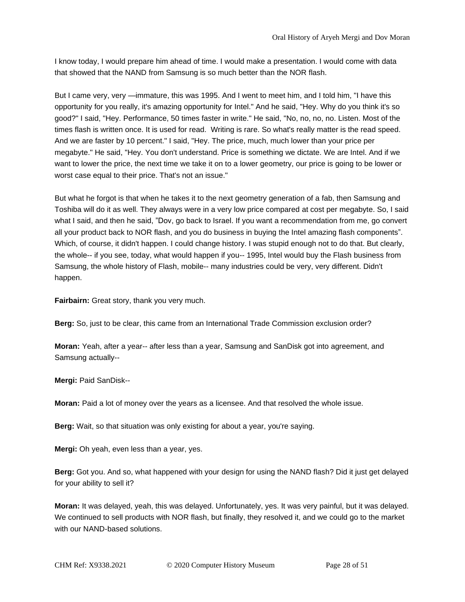I know today, I would prepare him ahead of time. I would make a presentation. I would come with data that showed that the NAND from Samsung is so much better than the NOR flash.

But I came very, very —immature, this was 1995. And I went to meet him, and I told him, "I have this opportunity for you really, it's amazing opportunity for Intel." And he said, "Hey. Why do you think it's so good?" I said, "Hey. Performance, 50 times faster in write." He said, "No, no, no, no. Listen. Most of the times flash is written once. It is used for read. Writing is rare. So what's really matter is the read speed. And we are faster by 10 percent." I said, "Hey. The price, much, much lower than your price per megabyte." He said, "Hey. You don't understand. Price is something we dictate. We are Intel. And if we want to lower the price, the next time we take it on to a lower geometry, our price is going to be lower or worst case equal to their price. That's not an issue."

But what he forgot is that when he takes it to the next geometry generation of a fab, then Samsung and Toshiba will do it as well. They always were in a very low price compared at cost per megabyte. So, I said what I said, and then he said, "Dov, go back to Israel. If you want a recommendation from me, go convert all your product back to NOR flash, and you do business in buying the Intel amazing flash components". Which, of course, it didn't happen. I could change history. I was stupid enough not to do that. But clearly, the whole-- if you see, today, what would happen if you-- 1995, Intel would buy the Flash business from Samsung, the whole history of Flash, mobile-- many industries could be very, very different. Didn't happen.

**Fairbairn:** Great story, thank you very much.

**Berg:** So, just to be clear, this came from an International Trade Commission exclusion order?

**Moran:** Yeah, after a year-- after less than a year, Samsung and SanDisk got into agreement, and Samsung actually--

**Mergi:** Paid SanDisk--

**Moran:** Paid a lot of money over the years as a licensee. And that resolved the whole issue.

**Berg:** Wait, so that situation was only existing for about a year, you're saying.

**Mergi:** Oh yeah, even less than a year, yes.

**Berg:** Got you. And so, what happened with your design for using the NAND flash? Did it just get delayed for your ability to sell it?

**Moran:** It was delayed, yeah, this was delayed. Unfortunately, yes. It was very painful, but it was delayed. We continued to sell products with NOR flash, but finally, they resolved it, and we could go to the market with our NAND-based solutions.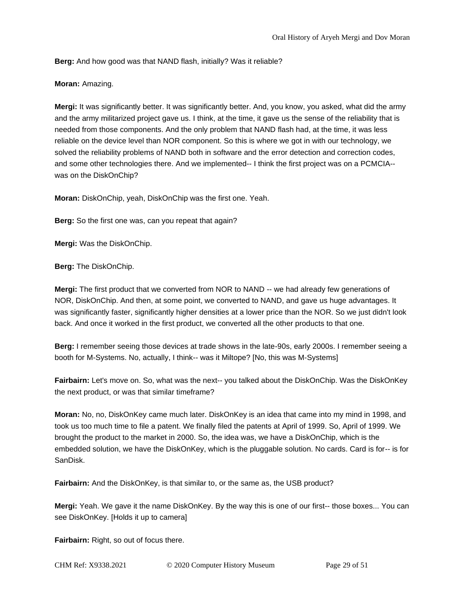**Berg:** And how good was that NAND flash, initially? Was it reliable?

**Moran:** Amazing.

**Mergi:** It was significantly better. It was significantly better. And, you know, you asked, what did the army and the army militarized project gave us. I think, at the time, it gave us the sense of the reliability that is needed from those components. And the only problem that NAND flash had, at the time, it was less reliable on the device level than NOR component. So this is where we got in with our technology, we solved the reliability problems of NAND both in software and the error detection and correction codes, and some other technologies there. And we implemented-- I think the first project was on a PCMCIA- was on the DiskOnChip?

**Moran:** DiskOnChip, yeah, DiskOnChip was the first one. Yeah.

**Berg:** So the first one was, can you repeat that again?

**Mergi:** Was the DiskOnChip.

**Berg:** The DiskOnChip.

**Mergi:** The first product that we converted from NOR to NAND -- we had already few generations of NOR, DiskOnChip. And then, at some point, we converted to NAND, and gave us huge advantages. It was significantly faster, significantly higher densities at a lower price than the NOR. So we just didn't look back. And once it worked in the first product, we converted all the other products to that one.

**Berg:** I remember seeing those devices at trade shows in the late-90s, early 2000s. I remember seeing a booth for M-Systems. No, actually, I think-- was it Miltope? [No, this was M-Systems]

**Fairbairn:** Let's move on. So, what was the next-- you talked about the DiskOnChip. Was the DiskOnKey the next product, or was that similar timeframe?

**Moran:** No, no, DiskOnKey came much later. DiskOnKey is an idea that came into my mind in 1998, and took us too much time to file a patent. We finally filed the patents at April of 1999. So, April of 1999. We brought the product to the market in 2000. So, the idea was, we have a DiskOnChip, which is the embedded solution, we have the DiskOnKey, which is the pluggable solution. No cards. Card is for-- is for SanDisk.

**Fairbairn:** And the DiskOnKey, is that similar to, or the same as, the USB product?

**Mergi:** Yeah. We gave it the name DiskOnKey. By the way this is one of our first-- those boxes... You can see DiskOnKey. [Holds it up to camera]

**Fairbairn:** Right, so out of focus there.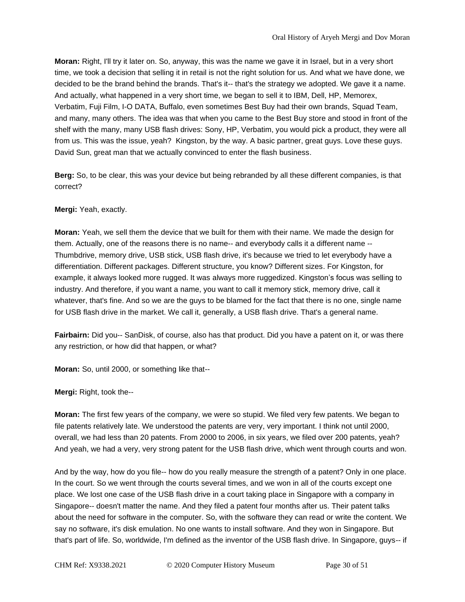**Moran:** Right, I'll try it later on. So, anyway, this was the name we gave it in Israel, but in a very short time, we took a decision that selling it in retail is not the right solution for us. And what we have done, we decided to be the brand behind the brands. That's it-- that's the strategy we adopted. We gave it a name. And actually, what happened in a very short time, we began to sell it to IBM, Dell, HP, Memorex, Verbatim, Fuji Film, I-O DATA, Buffalo, even sometimes Best Buy had their own brands, Squad Team, and many, many others. The idea was that when you came to the Best Buy store and stood in front of the shelf with the many, many USB flash drives: Sony, HP, Verbatim, you would pick a product, they were all from us. This was the issue, yeah? Kingston, by the way. A basic partner, great guys. Love these guys. David Sun, great man that we actually convinced to enter the flash business.

**Berg:** So, to be clear, this was your device but being rebranded by all these different companies, is that correct?

## **Mergi:** Yeah, exactly.

**Moran:** Yeah, we sell them the device that we built for them with their name. We made the design for them. Actually, one of the reasons there is no name-- and everybody calls it a different name -- Thumbdrive, memory drive, USB stick, USB flash drive, it's because we tried to let everybody have a differentiation. Different packages. Different structure, you know? Different sizes. For Kingston, for example, it always looked more rugged. It was always more ruggedized. Kingston's focus was selling to industry. And therefore, if you want a name, you want to call it memory stick, memory drive, call it whatever, that's fine. And so we are the guys to be blamed for the fact that there is no one, single name for USB flash drive in the market. We call it, generally, a USB flash drive. That's a general name.

**Fairbairn:** Did you-- SanDisk, of course, also has that product. Did you have a patent on it, or was there any restriction, or how did that happen, or what?

**Moran:** So, until 2000, or something like that--

**Mergi:** Right, took the--

**Moran:** The first few years of the company, we were so stupid. We filed very few patents. We began to file patents relatively late. We understood the patents are very, very important. I think not until 2000, overall, we had less than 20 patents. From 2000 to 2006, in six years, we filed over 200 patents, yeah? And yeah, we had a very, very strong patent for the USB flash drive, which went through courts and won.

And by the way, how do you file-- how do you really measure the strength of a patent? Only in one place. In the court. So we went through the courts several times, and we won in all of the courts except one place. We lost one case of the USB flash drive in a court taking place in Singapore with a company in Singapore-- doesn't matter the name. And they filed a patent four months after us. Their patent talks about the need for software in the computer. So, with the software they can read or write the content. We say no software, it's disk emulation. No one wants to install software. And they won in Singapore. But that's part of life. So, worldwide, I'm defined as the inventor of the USB flash drive. In Singapore, guys-- if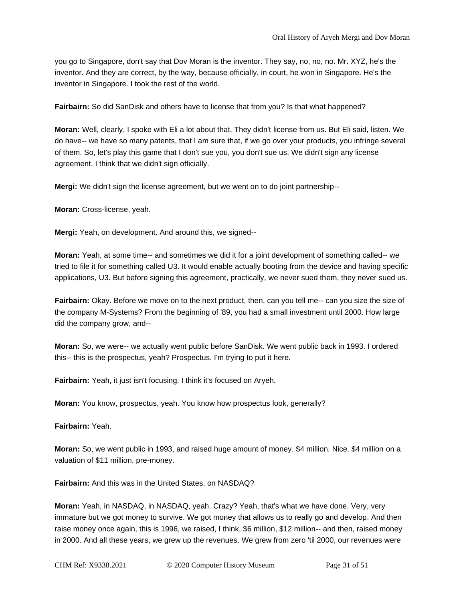you go to Singapore, don't say that Dov Moran is the inventor. They say, no, no, no. Mr. XYZ, he's the inventor. And they are correct, by the way, because officially, in court, he won in Singapore. He's the inventor in Singapore. I took the rest of the world.

**Fairbairn:** So did SanDisk and others have to license that from you? Is that what happened?

**Moran:** Well, clearly, I spoke with Eli a lot about that. They didn't license from us. But Eli said, listen. We do have-- we have so many patents, that I am sure that, if we go over your products, you infringe several of them. So, let's play this game that I don't sue you, you don't sue us. We didn't sign any license agreement. I think that we didn't sign officially.

**Mergi:** We didn't sign the license agreement, but we went on to do joint partnership--

**Moran:** Cross-license, yeah.

**Mergi:** Yeah, on development. And around this, we signed--

**Moran:** Yeah, at some time-- and sometimes we did it for a joint development of something called-- we tried to file it for something called U3. It would enable actually booting from the device and having specific applications, U3. But before signing this agreement, practically, we never sued them, they never sued us.

**Fairbairn:** Okay. Before we move on to the next product, then, can you tell me-- can you size the size of the company M-Systems? From the beginning of '89, you had a small investment until 2000. How large did the company grow, and--

**Moran:** So, we were-- we actually went public before SanDisk. We went public back in 1993. I ordered this-- this is the prospectus, yeah? Prospectus. I'm trying to put it here.

**Fairbairn:** Yeah, it just isn't focusing. I think it's focused on Aryeh.

**Moran:** You know, prospectus, yeah. You know how prospectus look, generally?

**Fairbairn:** Yeah.

**Moran:** So, we went public in 1993, and raised huge amount of money. \$4 million. Nice. \$4 million on a valuation of \$11 million, pre-money.

**Fairbairn:** And this was in the United States, on NASDAQ?

**Moran:** Yeah, in NASDAQ, in NASDAQ, yeah. Crazy? Yeah, that's what we have done. Very, very immature but we got money to survive. We got money that allows us to really go and develop. And then raise money once again, this is 1996, we raised, I think, \$6 million, \$12 million-- and then, raised money in 2000. And all these years, we grew up the revenues. We grew from zero 'til 2000, our revenues were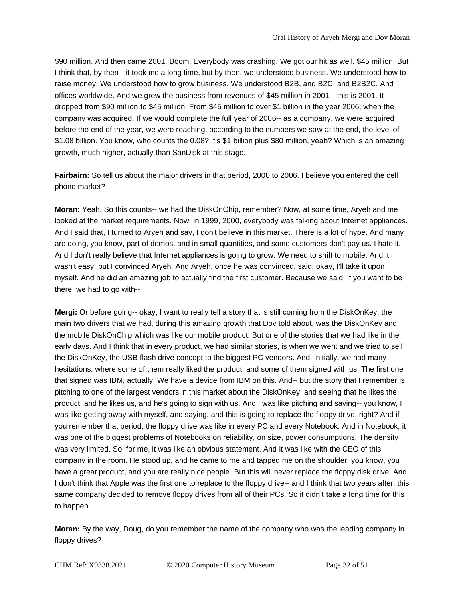\$90 million. And then came 2001. Boom. Everybody was crashing. We got our hit as well. \$45 million. But I think that, by then-- it took me a long time, but by then, we understood business. We understood how to raise money. We understood how to grow business. We understood B2B, and B2C, and B2B2C. And offices worldwide. And we grew the business from revenues of \$45 million in 2001-- this is 2001. It dropped from \$90 million to \$45 million. From \$45 million to over \$1 billion in the year 2006, when the company was acquired. If we would complete the full year of 2006-- as a company, we were acquired before the end of the year, we were reaching, according to the numbers we saw at the end, the level of \$1.08 billion. You know, who counts the 0.08? It's \$1 billion plus \$80 million, yeah? Which is an amazing growth, much higher, actually than SanDisk at this stage.

**Fairbairn:** So tell us about the major drivers in that period, 2000 to 2006. I believe you entered the cell phone market?

**Moran:** Yeah. So this counts-- we had the DiskOnChip, remember? Now, at some time, Aryeh and me looked at the market requirements. Now, in 1999, 2000, everybody was talking about Internet appliances. And I said that, I turned to Aryeh and say, I don't believe in this market. There is a lot of hype. And many are doing, you know, part of demos, and in small quantities, and some customers don't pay us. I hate it. And I don't really believe that Internet appliances is going to grow. We need to shift to mobile. And it wasn't easy, but I convinced Aryeh. And Aryeh, once he was convinced, said, okay, I'll take it upon myself. And he did an amazing job to actually find the first customer. Because we said, if you want to be there, we had to go with--

**Mergi:** Or before going-- okay, I want to really tell a story that is still coming from the DiskOnKey, the main two drivers that we had, during this amazing growth that Dov told about, was the DiskOnKey and the mobile DiskOnChip which was like our mobile product. But one of the stories that we had like in the early days. And I think that in every product, we had similar stories, is when we went and we tried to sell the DiskOnKey, the USB flash drive concept to the biggest PC vendors. And, initially, we had many hesitations, where some of them really liked the product, and some of them signed with us. The first one that signed was IBM, actually. We have a device from IBM on this. And-- but the story that I remember is pitching to one of the largest vendors in this market about the DiskOnKey, and seeing that he likes the product, and he likes us, and he's going to sign with us. And I was like pitching and saying-- you know, I was like getting away with myself, and saying, and this is going to replace the floppy drive, right? And if you remember that period, the floppy drive was like in every PC and every Notebook. And in Notebook, it was one of the biggest problems of Notebooks on reliability, on size, power consumptions. The density was very limited. So, for me, it was like an obvious statement. And it was like with the CEO of this company in the room. He stood up, and he came to me and tapped me on the shoulder, you know, you have a great product, and you are really nice people. But this will never replace the floppy disk drive. And I don't think that Apple was the first one to replace to the floppy drive-- and I think that two years after, this same company decided to remove floppy drives from all of their PCs. So it didn't take a long time for this to happen.

**Moran:** By the way, Doug, do you remember the name of the company who was the leading company in floppy drives?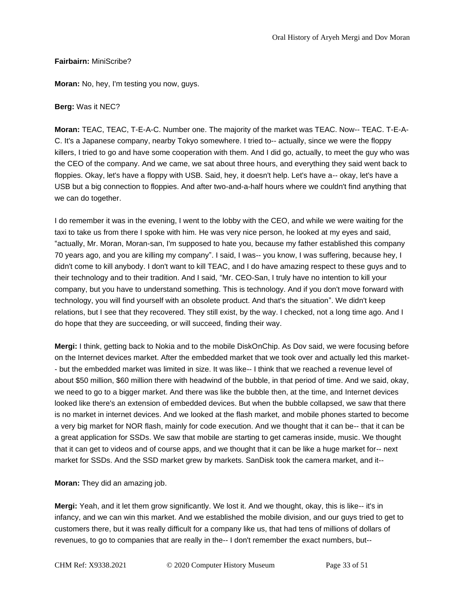## **Fairbairn:** MiniScribe?

**Moran:** No, hey, I'm testing you now, guys.

## **Berg:** Was it NEC?

**Moran:** TEAC, TEAC, T-E-A-C. Number one. The majority of the market was TEAC. Now-- TEAC. T-E-A-C. It's a Japanese company, nearby Tokyo somewhere. I tried to-- actually, since we were the floppy killers, I tried to go and have some cooperation with them. And I did go, actually, to meet the guy who was the CEO of the company. And we came, we sat about three hours, and everything they said went back to floppies. Okay, let's have a floppy with USB. Said, hey, it doesn't help. Let's have a-- okay, let's have a USB but a big connection to floppies. And after two-and-a-half hours where we couldn't find anything that we can do together.

I do remember it was in the evening, I went to the lobby with the CEO, and while we were waiting for the taxi to take us from there I spoke with him. He was very nice person, he looked at my eyes and said, "actually, Mr. Moran, Moran-san, I'm supposed to hate you, because my father established this company 70 years ago, and you are killing my company". I said, I was-- you know, I was suffering, because hey, I didn't come to kill anybody. I don't want to kill TEAC, and I do have amazing respect to these guys and to their technology and to their tradition. And I said, "Mr. CEO-San, I truly have no intention to kill your company, but you have to understand something. This is technology. And if you don't move forward with technology, you will find yourself with an obsolete product. And that's the situation". We didn't keep relations, but I see that they recovered. They still exist, by the way. I checked, not a long time ago. And I do hope that they are succeeding, or will succeed, finding their way.

**Mergi:** I think, getting back to Nokia and to the mobile DiskOnChip. As Dov said, we were focusing before on the Internet devices market. After the embedded market that we took over and actually led this market- - but the embedded market was limited in size. It was like-- I think that we reached a revenue level of about \$50 million, \$60 million there with headwind of the bubble, in that period of time. And we said, okay, we need to go to a bigger market. And there was like the bubble then, at the time, and Internet devices looked like there's an extension of embedded devices. But when the bubble collapsed, we saw that there is no market in internet devices. And we looked at the flash market, and mobile phones started to become a very big market for NOR flash, mainly for code execution. And we thought that it can be-- that it can be a great application for SSDs. We saw that mobile are starting to get cameras inside, music. We thought that it can get to videos and of course apps, and we thought that it can be like a huge market for-- next market for SSDs. And the SSD market grew by markets. SanDisk took the camera market, and it--

**Moran:** They did an amazing job.

**Mergi:** Yeah, and it let them grow significantly. We lost it. And we thought, okay, this is like-- it's in infancy, and we can win this market. And we established the mobile division, and our guys tried to get to customers there, but it was really difficult for a company like us, that had tens of millions of dollars of revenues, to go to companies that are really in the-- I don't remember the exact numbers, but--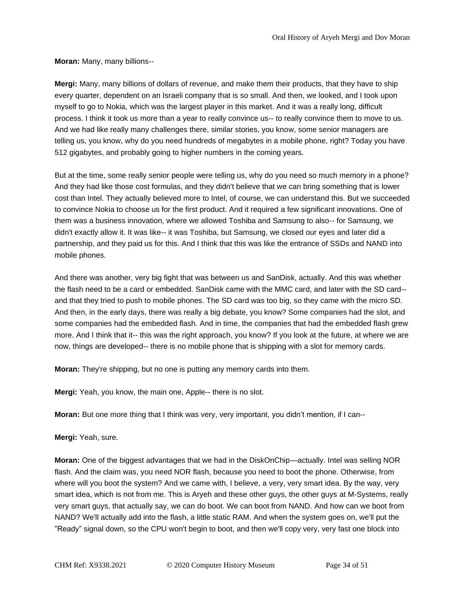**Moran:** Many, many billions--

**Mergi:** Many, many billions of dollars of revenue, and make them their products, that they have to ship every quarter, dependent on an Israeli company that is so small. And then, we looked, and I took upon myself to go to Nokia, which was the largest player in this market. And it was a really long, difficult process. I think it took us more than a year to really convince us-- to really convince them to move to us. And we had like really many challenges there, similar stories, you know, some senior managers are telling us, you know, why do you need hundreds of megabytes in a mobile phone, right? Today you have 512 gigabytes, and probably going to higher numbers in the coming years.

But at the time, some really senior people were telling us, why do you need so much memory in a phone? And they had like those cost formulas, and they didn't believe that we can bring something that is lower cost than Intel. They actually believed more to Intel, of course, we can understand this. But we succeeded to convince Nokia to choose us for the first product. And it required a few significant innovations. One of them was a business innovation, where we allowed Toshiba and Samsung to also-- for Samsung, we didn't exactly allow it. It was like-- it was Toshiba, but Samsung, we closed our eyes and later did a partnership, and they paid us for this. And I think that this was like the entrance of SSDs and NAND into mobile phones.

And there was another, very big fight that was between us and SanDisk, actually. And this was whether the flash need to be a card or embedded. SanDisk came with the MMC card, and later with the SD card- and that they tried to push to mobile phones. The SD card was too big, so they came with the micro SD. And then, in the early days, there was really a big debate, you know? Some companies had the slot, and some companies had the embedded flash. And in time, the companies that had the embedded flash grew more. And I think that it-- this was the right approach, you know? If you look at the future, at where we are now, things are developed-- there is no mobile phone that is shipping with a slot for memory cards.

**Moran:** They're shipping, but no one is putting any memory cards into them.

**Mergi:** Yeah, you know, the main one, Apple-- there is no slot.

**Moran:** But one more thing that I think was very, very important, you didn't mention, if I can--

**Mergi:** Yeah, sure.

**Moran:** One of the biggest advantages that we had in the DiskOnChip—actually. Intel was selling NOR flash. And the claim was, you need NOR flash, because you need to boot the phone. Otherwise, from where will you boot the system? And we came with, I believe, a very, very smart idea. By the way, very smart idea, which is not from me. This is Aryeh and these other guys, the other guys at M-Systems, really very smart guys, that actually say, we can do boot. We can boot from NAND. And how can we boot from NAND? We'll actually add into the flash, a little static RAM. And when the system goes on, we'll put the "Ready" signal down, so the CPU won't begin to boot, and then we'll copy very, very fast one block into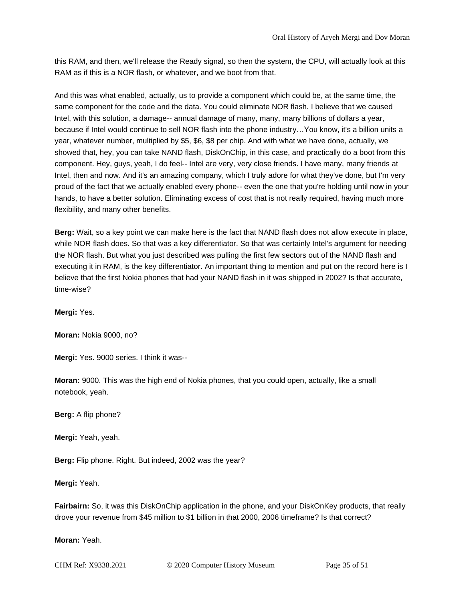this RAM, and then, we'll release the Ready signal, so then the system, the CPU, will actually look at this RAM as if this is a NOR flash, or whatever, and we boot from that.

And this was what enabled, actually, us to provide a component which could be, at the same time, the same component for the code and the data. You could eliminate NOR flash. I believe that we caused Intel, with this solution, a damage-- annual damage of many, many, many billions of dollars a year, because if Intel would continue to sell NOR flash into the phone industry…You know, it's a billion units a year, whatever number, multiplied by \$5, \$6, \$8 per chip. And with what we have done, actually, we showed that, hey, you can take NAND flash, DiskOnChip, in this case, and practically do a boot from this component. Hey, guys, yeah, I do feel-- Intel are very, very close friends. I have many, many friends at Intel, then and now. And it's an amazing company, which I truly adore for what they've done, but I'm very proud of the fact that we actually enabled every phone-- even the one that you're holding until now in your hands, to have a better solution. Eliminating excess of cost that is not really required, having much more flexibility, and many other benefits.

**Berg:** Wait, so a key point we can make here is the fact that NAND flash does not allow execute in place, while NOR flash does. So that was a key differentiator. So that was certainly Intel's argument for needing the NOR flash. But what you just described was pulling the first few sectors out of the NAND flash and executing it in RAM, is the key differentiator. An important thing to mention and put on the record here is I believe that the first Nokia phones that had your NAND flash in it was shipped in 2002? Is that accurate, time-wise?

**Mergi:** Yes.

**Moran:** Nokia 9000, no?

**Mergi:** Yes. 9000 series. I think it was--

**Moran:** 9000. This was the high end of Nokia phones, that you could open, actually, like a small notebook, yeah.

**Berg:** A flip phone?

**Mergi:** Yeah, yeah.

**Berg:** Flip phone. Right. But indeed, 2002 was the year?

**Mergi:** Yeah.

**Fairbairn:** So, it was this DiskOnChip application in the phone, and your DiskOnKey products, that really drove your revenue from \$45 million to \$1 billion in that 2000, 2006 timeframe? Is that correct?

**Moran:** Yeah.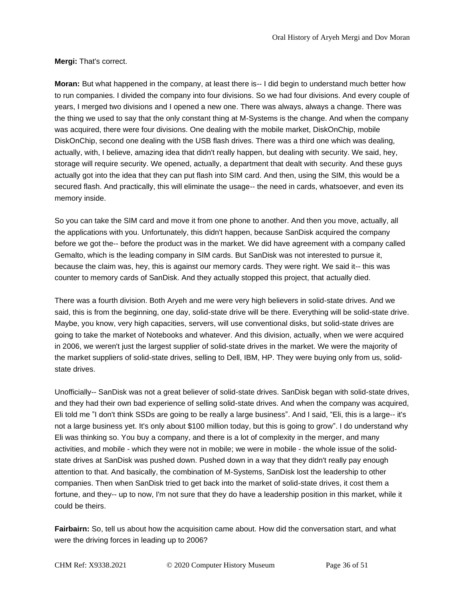**Mergi:** That's correct.

**Moran:** But what happened in the company, at least there is-- I did begin to understand much better how to run companies. I divided the company into four divisions. So we had four divisions. And every couple of years, I merged two divisions and I opened a new one. There was always, always a change. There was the thing we used to say that the only constant thing at M-Systems is the change. And when the company was acquired, there were four divisions. One dealing with the mobile market, DiskOnChip, mobile DiskOnChip, second one dealing with the USB flash drives. There was a third one which was dealing, actually, with, I believe, amazing idea that didn't really happen, but dealing with security. We said, hey, storage will require security. We opened, actually, a department that dealt with security. And these guys actually got into the idea that they can put flash into SIM card. And then, using the SIM, this would be a secured flash. And practically, this will eliminate the usage-- the need in cards, whatsoever, and even its memory inside.

So you can take the SIM card and move it from one phone to another. And then you move, actually, all the applications with you. Unfortunately, this didn't happen, because SanDisk acquired the company before we got the-- before the product was in the market. We did have agreement with a company called Gemalto, which is the leading company in SIM cards. But SanDisk was not interested to pursue it, because the claim was, hey, this is against our memory cards. They were right. We said it-- this was counter to memory cards of SanDisk. And they actually stopped this project, that actually died.

There was a fourth division. Both Aryeh and me were very high believers in solid-state drives. And we said, this is from the beginning, one day, solid-state drive will be there. Everything will be solid-state drive. Maybe, you know, very high capacities, servers, will use conventional disks, but solid-state drives are going to take the market of Notebooks and whatever. And this division, actually, when we were acquired in 2006, we weren't just the largest supplier of solid-state drives in the market. We were the majority of the market suppliers of solid-state drives, selling to Dell, IBM, HP. They were buying only from us, solidstate drives.

Unofficially-- SanDisk was not a great believer of solid-state drives. SanDisk began with solid-state drives, and they had their own bad experience of selling solid-state drives. And when the company was acquired, Eli told me "I don't think SSDs are going to be really a large business". And I said, "Eli, this is a large-- it's not a large business yet. It's only about \$100 million today, but this is going to grow". I do understand why Eli was thinking so. You buy a company, and there is a lot of complexity in the merger, and many activities, and mobile - which they were not in mobile; we were in mobile - the whole issue of the solidstate drives at SanDisk was pushed down. Pushed down in a way that they didn't really pay enough attention to that. And basically, the combination of M-Systems, SanDisk lost the leadership to other companies. Then when SanDisk tried to get back into the market of solid-state drives, it cost them a fortune, and they-- up to now, I'm not sure that they do have a leadership position in this market, while it could be theirs.

**Fairbairn:** So, tell us about how the acquisition came about. How did the conversation start, and what were the driving forces in leading up to 2006?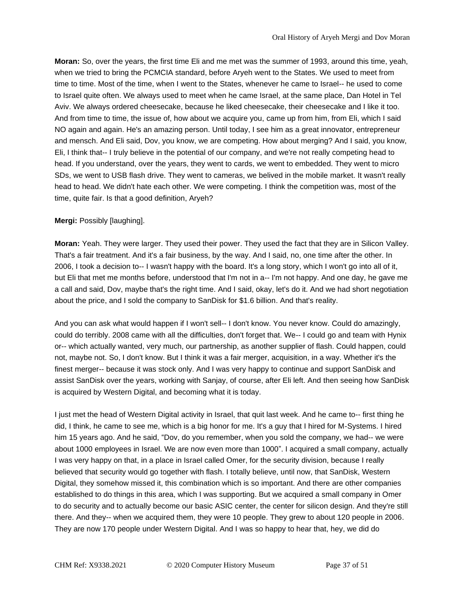**Moran:** So, over the years, the first time Eli and me met was the summer of 1993, around this time, yeah, when we tried to bring the PCMCIA standard, before Aryeh went to the States. We used to meet from time to time. Most of the time, when I went to the States, whenever he came to Israel-- he used to come to Israel quite often. We always used to meet when he came Israel, at the same place, Dan Hotel in Tel Aviv. We always ordered cheesecake, because he liked cheesecake, their cheesecake and I like it too. And from time to time, the issue of, how about we acquire you, came up from him, from Eli, which I said NO again and again. He's an amazing person. Until today, I see him as a great innovator, entrepreneur and mensch. And Eli said, Dov, you know, we are competing. How about merging? And I said, you know, Eli, I think that-- I truly believe in the potential of our company, and we're not really competing head to head. If you understand, over the years, they went to cards, we went to embedded. They went to micro SDs, we went to USB flash drive. They went to cameras, we belived in the mobile market. It wasn't really head to head. We didn't hate each other. We were competing. I think the competition was, most of the time, quite fair. Is that a good definition, Aryeh?

## **Mergi:** Possibly [laughing].

**Moran:** Yeah. They were larger. They used their power. They used the fact that they are in Silicon Valley. That's a fair treatment. And it's a fair business, by the way. And I said, no, one time after the other. In 2006, I took a decision to-- I wasn't happy with the board. It's a long story, which I won't go into all of it, but Eli that met me months before, understood that I'm not in a-- I'm not happy. And one day, he gave me a call and said, Dov, maybe that's the right time. And I said, okay, let's do it. And we had short negotiation about the price, and I sold the company to SanDisk for \$1.6 billion. And that's reality.

And you can ask what would happen if I won't sell-- I don't know. You never know. Could do amazingly, could do terribly. 2008 came with all the difficulties, don't forget that. We-- I could go and team with Hynix or-- which actually wanted, very much, our partnership, as another supplier of flash. Could happen, could not, maybe not. So, I don't know. But I think it was a fair merger, acquisition, in a way. Whether it's the finest merger-- because it was stock only. And I was very happy to continue and support SanDisk and assist SanDisk over the years, working with Sanjay, of course, after Eli left. And then seeing how SanDisk is acquired by Western Digital, and becoming what it is today.

I just met the head of Western Digital activity in Israel, that quit last week. And he came to-- first thing he did, I think, he came to see me, which is a big honor for me. It's a guy that I hired for M-Systems. I hired him 15 years ago. And he said, "Dov, do you remember, when you sold the company, we had-- we were about 1000 employees in Israel. We are now even more than 1000". I acquired a small company, actually I was very happy on that, in a place in Israel called Omer, for the security division, because I really believed that security would go together with flash. I totally believe, until now, that SanDisk, Western Digital, they somehow missed it, this combination which is so important. And there are other companies established to do things in this area, which I was supporting. But we acquired a small company in Omer to do security and to actually become our basic ASIC center, the center for silicon design. And they're still there. And they-- when we acquired them, they were 10 people. They grew to about 120 people in 2006. They are now 170 people under Western Digital. And I was so happy to hear that, hey, we did do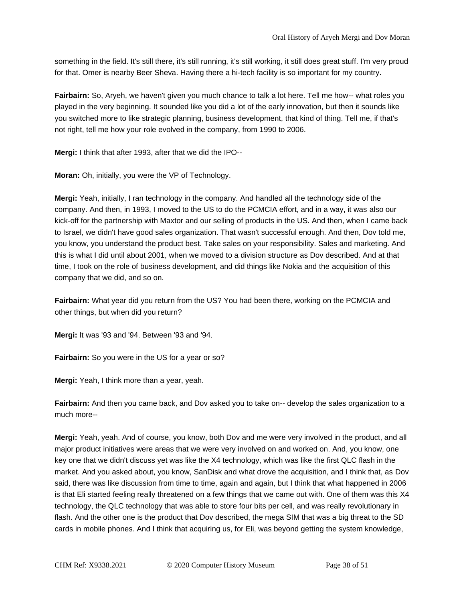something in the field. It's still there, it's still running, it's still working, it still does great stuff. I'm very proud for that. Omer is nearby Beer Sheva. Having there a hi-tech facility is so important for my country.

**Fairbairn:** So, Aryeh, we haven't given you much chance to talk a lot here. Tell me how-- what roles you played in the very beginning. It sounded like you did a lot of the early innovation, but then it sounds like you switched more to like strategic planning, business development, that kind of thing. Tell me, if that's not right, tell me how your role evolved in the company, from 1990 to 2006.

**Mergi:** I think that after 1993, after that we did the IPO--

**Moran:** Oh, initially, you were the VP of Technology.

**Mergi:** Yeah, initially, I ran technology in the company. And handled all the technology side of the company. And then, in 1993, I moved to the US to do the PCMCIA effort, and in a way, it was also our kick-off for the partnership with Maxtor and our selling of products in the US. And then, when I came back to Israel, we didn't have good sales organization. That wasn't successful enough. And then, Dov told me, you know, you understand the product best. Take sales on your responsibility. Sales and marketing. And this is what I did until about 2001, when we moved to a division structure as Dov described. And at that time, I took on the role of business development, and did things like Nokia and the acquisition of this company that we did, and so on.

**Fairbairn:** What year did you return from the US? You had been there, working on the PCMCIA and other things, but when did you return?

**Mergi:** It was '93 and '94. Between '93 and '94.

**Fairbairn:** So you were in the US for a year or so?

**Mergi:** Yeah, I think more than a year, yeah.

**Fairbairn:** And then you came back, and Dov asked you to take on-- develop the sales organization to a much more--

**Mergi:** Yeah, yeah. And of course, you know, both Dov and me were very involved in the product, and all major product initiatives were areas that we were very involved on and worked on. And, you know, one key one that we didn't discuss yet was like the X4 technology, which was like the first QLC flash in the market. And you asked about, you know, SanDisk and what drove the acquisition, and I think that, as Dov said, there was like discussion from time to time, again and again, but I think that what happened in 2006 is that Eli started feeling really threatened on a few things that we came out with. One of them was this X4 technology, the QLC technology that was able to store four bits per cell, and was really revolutionary in flash. And the other one is the product that Dov described, the mega SIM that was a big threat to the SD cards in mobile phones. And I think that acquiring us, for Eli, was beyond getting the system knowledge,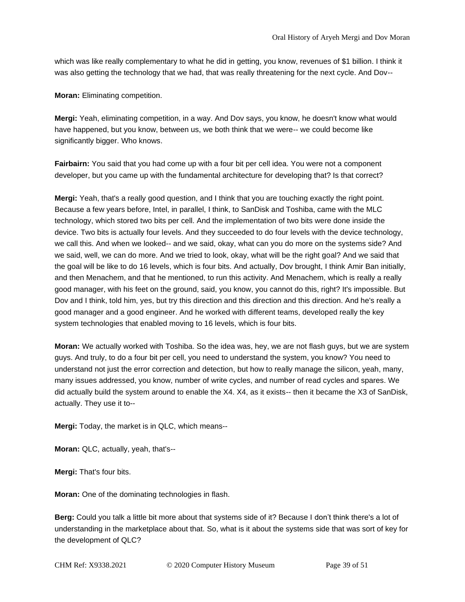which was like really complementary to what he did in getting, you know, revenues of \$1 billion. I think it was also getting the technology that we had, that was really threatening for the next cycle. And Dov--

**Moran:** Eliminating competition.

**Mergi:** Yeah, eliminating competition, in a way. And Dov says, you know, he doesn't know what would have happened, but you know, between us, we both think that we were-- we could become like significantly bigger. Who knows.

**Fairbairn:** You said that you had come up with a four bit per cell idea. You were not a component developer, but you came up with the fundamental architecture for developing that? Is that correct?

**Mergi:** Yeah, that's a really good question, and I think that you are touching exactly the right point. Because a few years before, Intel, in parallel, I think, to SanDisk and Toshiba, came with the MLC technology, which stored two bits per cell. And the implementation of two bits were done inside the device. Two bits is actually four levels. And they succeeded to do four levels with the device technology, we call this. And when we looked-- and we said, okay, what can you do more on the systems side? And we said, well, we can do more. And we tried to look, okay, what will be the right goal? And we said that the goal will be like to do 16 levels, which is four bits. And actually, Dov brought, I think Amir Ban initially, and then Menachem, and that he mentioned, to run this activity. And Menachem, which is really a really good manager, with his feet on the ground, said, you know, you cannot do this, right? It's impossible. But Dov and I think, told him, yes, but try this direction and this direction and this direction. And he's really a good manager and a good engineer. And he worked with different teams, developed really the key system technologies that enabled moving to 16 levels, which is four bits.

**Moran:** We actually worked with Toshiba. So the idea was, hey, we are not flash guys, but we are system guys. And truly, to do a four bit per cell, you need to understand the system, you know? You need to understand not just the error correction and detection, but how to really manage the silicon, yeah, many, many issues addressed, you know, number of write cycles, and number of read cycles and spares. We did actually build the system around to enable the X4. X4, as it exists-- then it became the X3 of SanDisk, actually. They use it to--

**Mergi:** Today, the market is in QLC, which means--

**Moran:** QLC, actually, yeah, that's--

**Mergi:** That's four bits.

**Moran:** One of the dominating technologies in flash.

**Berg:** Could you talk a little bit more about that systems side of it? Because I don't think there's a lot of understanding in the marketplace about that. So, what is it about the systems side that was sort of key for the development of QLC?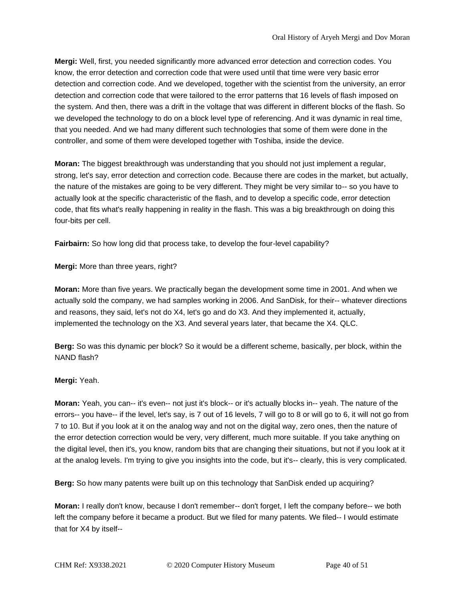**Mergi:** Well, first, you needed significantly more advanced error detection and correction codes. You know, the error detection and correction code that were used until that time were very basic error detection and correction code. And we developed, together with the scientist from the university, an error detection and correction code that were tailored to the error patterns that 16 levels of flash imposed on the system. And then, there was a drift in the voltage that was different in different blocks of the flash. So we developed the technology to do on a block level type of referencing. And it was dynamic in real time, that you needed. And we had many different such technologies that some of them were done in the controller, and some of them were developed together with Toshiba, inside the device.

**Moran:** The biggest breakthrough was understanding that you should not just implement a regular, strong, let's say, error detection and correction code. Because there are codes in the market, but actually, the nature of the mistakes are going to be very different. They might be very similar to-- so you have to actually look at the specific characteristic of the flash, and to develop a specific code, error detection code, that fits what's really happening in reality in the flash. This was a big breakthrough on doing this four-bits per cell.

**Fairbairn:** So how long did that process take, to develop the four-level capability?

**Mergi:** More than three years, right?

**Moran:** More than five years. We practically began the development some time in 2001. And when we actually sold the company, we had samples working in 2006. And SanDisk, for their-- whatever directions and reasons, they said, let's not do X4, let's go and do X3. And they implemented it, actually, implemented the technology on the X3. And several years later, that became the X4. QLC.

**Berg:** So was this dynamic per block? So it would be a different scheme, basically, per block, within the NAND flash?

# **Mergi:** Yeah.

**Moran:** Yeah, you can-- it's even-- not just it's block-- or it's actually blocks in-- yeah. The nature of the errors-- you have-- if the level, let's say, is 7 out of 16 levels, 7 will go to 8 or will go to 6, it will not go from 7 to 10. But if you look at it on the analog way and not on the digital way, zero ones, then the nature of the error detection correction would be very, very different, much more suitable. If you take anything on the digital level, then it's, you know, random bits that are changing their situations, but not if you look at it at the analog levels. I'm trying to give you insights into the code, but it's-- clearly, this is very complicated.

**Berg:** So how many patents were built up on this technology that SanDisk ended up acquiring?

**Moran:** I really don't know, because I don't remember-- don't forget, I left the company before-- we both left the company before it became a product. But we filed for many patents. We filed-- I would estimate that for X4 by itself--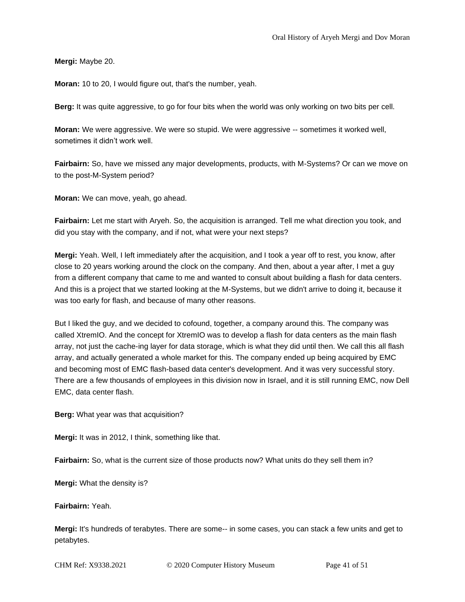**Mergi:** Maybe 20.

**Moran:** 10 to 20, I would figure out, that's the number, yeah.

**Berg:** It was quite aggressive, to go for four bits when the world was only working on two bits per cell.

**Moran:** We were aggressive. We were so stupid. We were aggressive -- sometimes it worked well, sometimes it didn't work well.

**Fairbairn:** So, have we missed any major developments, products, with M-Systems? Or can we move on to the post-M-System period?

**Moran:** We can move, yeah, go ahead.

**Fairbairn:** Let me start with Aryeh. So, the acquisition is arranged. Tell me what direction you took, and did you stay with the company, and if not, what were your next steps?

**Mergi:** Yeah. Well, I left immediately after the acquisition, and I took a year off to rest, you know, after close to 20 years working around the clock on the company. And then, about a year after, I met a guy from a different company that came to me and wanted to consult about building a flash for data centers. And this is a project that we started looking at the M-Systems, but we didn't arrive to doing it, because it was too early for flash, and because of many other reasons.

But I liked the guy, and we decided to cofound, together, a company around this. The company was called XtremIO. And the concept for XtremIO was to develop a flash for data centers as the main flash array, not just the cache-ing layer for data storage, which is what they did until then. We call this all flash array, and actually generated a whole market for this. The company ended up being acquired by EMC and becoming most of EMC flash-based data center's development. And it was very successful story. There are a few thousands of employees in this division now in Israel, and it is still running EMC, now Dell EMC, data center flash.

**Berg:** What year was that acquisition?

**Mergi:** It was in 2012, I think, something like that.

**Fairbairn:** So, what is the current size of those products now? What units do they sell them in?

**Mergi:** What the density is?

**Fairbairn:** Yeah.

**Mergi:** It's hundreds of terabytes. There are some-- in some cases, you can stack a few units and get to petabytes.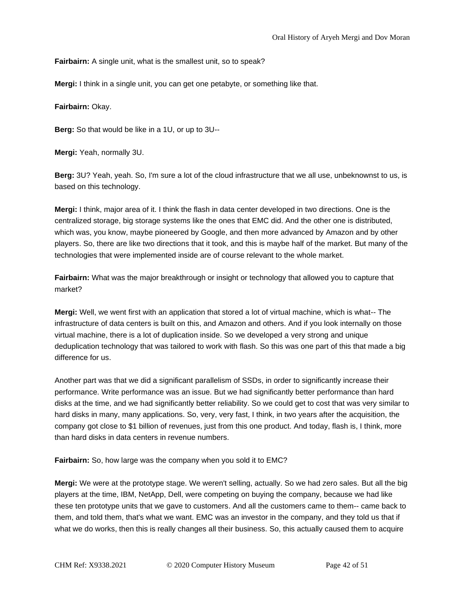**Fairbairn:** A single unit, what is the smallest unit, so to speak?

**Mergi:** I think in a single unit, you can get one petabyte, or something like that.

**Fairbairn:** Okay.

**Berg:** So that would be like in a 1U, or up to 3U--

**Mergi:** Yeah, normally 3U.

**Berg:** 3U? Yeah, yeah. So, I'm sure a lot of the cloud infrastructure that we all use, unbeknownst to us, is based on this technology.

**Mergi:** I think, major area of it. I think the flash in data center developed in two directions. One is the centralized storage, big storage systems like the ones that EMC did. And the other one is distributed, which was, you know, maybe pioneered by Google, and then more advanced by Amazon and by other players. So, there are like two directions that it took, and this is maybe half of the market. But many of the technologies that were implemented inside are of course relevant to the whole market.

**Fairbairn:** What was the major breakthrough or insight or technology that allowed you to capture that market?

**Mergi:** Well, we went first with an application that stored a lot of virtual machine, which is what-- The infrastructure of data centers is built on this, and Amazon and others. And if you look internally on those virtual machine, there is a lot of duplication inside. So we developed a very strong and unique deduplication technology that was tailored to work with flash. So this was one part of this that made a big difference for us.

Another part was that we did a significant parallelism of SSDs, in order to significantly increase their performance. Write performance was an issue. But we had significantly better performance than hard disks at the time, and we had significantly better reliability. So we could get to cost that was very similar to hard disks in many, many applications. So, very, very fast, I think, in two years after the acquisition, the company got close to \$1 billion of revenues, just from this one product. And today, flash is, I think, more than hard disks in data centers in revenue numbers.

**Fairbairn:** So, how large was the company when you sold it to EMC?

**Mergi:** We were at the prototype stage. We weren't selling, actually. So we had zero sales. But all the big players at the time, IBM, NetApp, Dell, were competing on buying the company, because we had like these ten prototype units that we gave to customers. And all the customers came to them-- came back to them, and told them, that's what we want. EMC was an investor in the company, and they told us that if what we do works, then this is really changes all their business. So, this actually caused them to acquire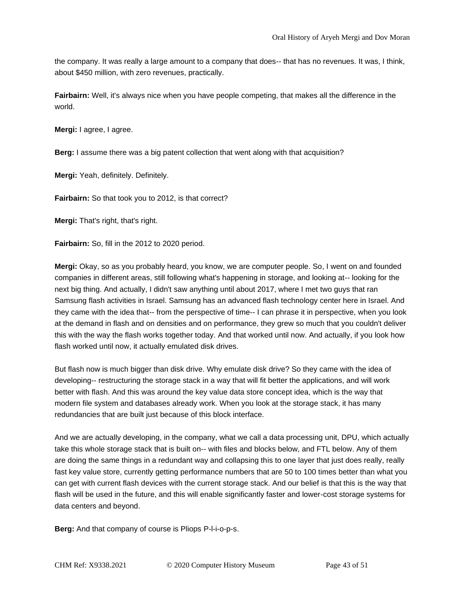the company. It was really a large amount to a company that does-- that has no revenues. It was, I think, about \$450 million, with zero revenues, practically.

**Fairbairn:** Well, it's always nice when you have people competing, that makes all the difference in the world.

**Mergi:** I agree, I agree.

**Berg:** I assume there was a big patent collection that went along with that acquisition?

**Mergi:** Yeah, definitely. Definitely.

**Fairbairn:** So that took you to 2012, is that correct?

**Mergi:** That's right, that's right.

**Fairbairn:** So, fill in the 2012 to 2020 period.

**Mergi:** Okay, so as you probably heard, you know, we are computer people. So, I went on and founded companies in different areas, still following what's happening in storage, and looking at-- looking for the next big thing. And actually, I didn't saw anything until about 2017, where I met two guys that ran Samsung flash activities in Israel. Samsung has an advanced flash technology center here in Israel. And they came with the idea that-- from the perspective of time-- I can phrase it in perspective, when you look at the demand in flash and on densities and on performance, they grew so much that you couldn't deliver this with the way the flash works together today. And that worked until now. And actually, if you look how flash worked until now, it actually emulated disk drives.

But flash now is much bigger than disk drive. Why emulate disk drive? So they came with the idea of developing-- restructuring the storage stack in a way that will fit better the applications, and will work better with flash. And this was around the key value data store concept idea, which is the way that modern file system and databases already work. When you look at the storage stack, it has many redundancies that are built just because of this block interface.

And we are actually developing, in the company, what we call a data processing unit, DPU, which actually take this whole storage stack that is built on-- with files and blocks below, and FTL below. Any of them are doing the same things in a redundant way and collapsing this to one layer that just does really, really fast key value store, currently getting performance numbers that are 50 to 100 times better than what you can get with current flash devices with the current storage stack. And our belief is that this is the way that flash will be used in the future, and this will enable significantly faster and lower-cost storage systems for data centers and beyond.

**Berg:** And that company of course is Pliops P-l-i-o-p-s.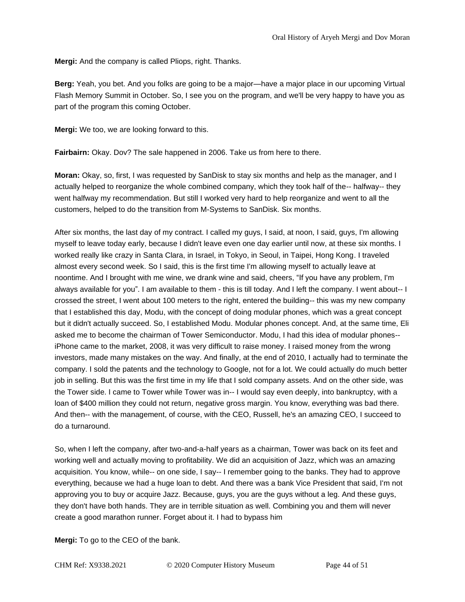**Mergi:** And the company is called Pliops, right. Thanks.

**Berg:** Yeah, you bet. And you folks are going to be a major—have a major place in our upcoming Virtual Flash Memory Summit in October. So, I see you on the program, and we'll be very happy to have you as part of the program this coming October.

**Mergi:** We too, we are looking forward to this.

**Fairbairn:** Okay. Dov? The sale happened in 2006. Take us from here to there.

**Moran:** Okay, so, first, I was requested by SanDisk to stay six months and help as the manager, and I actually helped to reorganize the whole combined company, which they took half of the-- halfway-- they went halfway my recommendation. But still I worked very hard to help reorganize and went to all the customers, helped to do the transition from M-Systems to SanDisk. Six months.

After six months, the last day of my contract. I called my guys, I said, at noon, I said, guys, I'm allowing myself to leave today early, because I didn't leave even one day earlier until now, at these six months. I worked really like crazy in Santa Clara, in Israel, in Tokyo, in Seoul, in Taipei, Hong Kong. I traveled almost every second week. So I said, this is the first time I'm allowing myself to actually leave at noontime. And I brought with me wine, we drank wine and said, cheers, "If you have any problem, I'm always available for you". I am available to them - this is till today. And I left the company. I went about-- I crossed the street, I went about 100 meters to the right, entered the building-- this was my new company that I established this day, Modu, with the concept of doing modular phones, which was a great concept but it didn't actually succeed. So, I established Modu. Modular phones concept. And, at the same time, Eli asked me to become the chairman of Tower Semiconductor. Modu, I had this idea of modular phones- iPhone came to the market, 2008, it was very difficult to raise money. I raised money from the wrong investors, made many mistakes on the way. And finally, at the end of 2010, I actually had to terminate the company. I sold the patents and the technology to Google, not for a lot. We could actually do much better job in selling. But this was the first time in my life that I sold company assets. And on the other side, was the Tower side. I came to Tower while Tower was in-- I would say even deeply, into bankruptcy, with a loan of \$400 million they could not return, negative gross margin. You know, everything was bad there. And then-- with the management, of course, with the CEO, Russell, he's an amazing CEO, I succeed to do a turnaround.

So, when I left the company, after two-and-a-half years as a chairman, Tower was back on its feet and working well and actually moving to profitability. We did an acquisition of Jazz, which was an amazing acquisition. You know, while-- on one side, I say-- I remember going to the banks. They had to approve everything, because we had a huge loan to debt. And there was a bank Vice President that said, I'm not approving you to buy or acquire Jazz. Because, guys, you are the guys without a leg. And these guys, they don't have both hands. They are in terrible situation as well. Combining you and them will never create a good marathon runner. Forget about it. I had to bypass him

**Mergi:** To go to the CEO of the bank.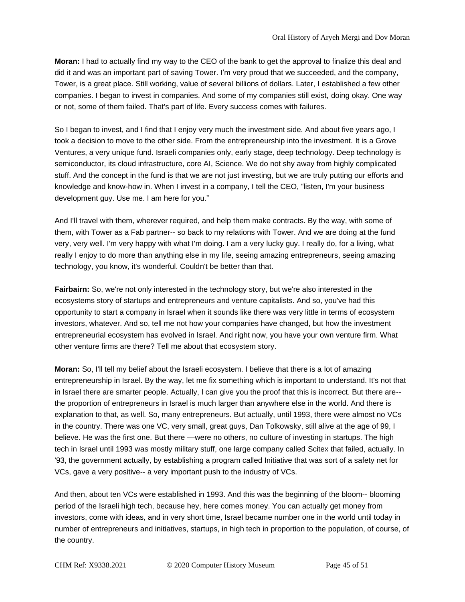**Moran:** I had to actually find my way to the CEO of the bank to get the approval to finalize this deal and did it and was an important part of saving Tower. I'm very proud that we succeeded, and the company, Tower, is a great place. Still working, value of several billions of dollars. Later, I established a few other companies. I began to invest in companies. And some of my companies still exist, doing okay. One way or not, some of them failed. That's part of life. Every success comes with failures.

So I began to invest, and I find that I enjoy very much the investment side. And about five years ago, I took a decision to move to the other side. From the entrepreneurship into the investment. It is a Grove Ventures, a very unique fund. Israeli companies only, early stage, deep technology. Deep technology is semiconductor, its cloud infrastructure, core AI, Science. We do not shy away from highly complicated stuff. And the concept in the fund is that we are not just investing, but we are truly putting our efforts and knowledge and know-how in. When I invest in a company, I tell the CEO, "listen, I'm your business development guy. Use me. I am here for you."

And I'll travel with them, wherever required, and help them make contracts. By the way, with some of them, with Tower as a Fab partner-- so back to my relations with Tower. And we are doing at the fund very, very well. I'm very happy with what I'm doing. I am a very lucky guy. I really do, for a living, what really I enjoy to do more than anything else in my life, seeing amazing entrepreneurs, seeing amazing technology, you know, it's wonderful. Couldn't be better than that.

**Fairbairn:** So, we're not only interested in the technology story, but we're also interested in the ecosystems story of startups and entrepreneurs and venture capitalists. And so, you've had this opportunity to start a company in Israel when it sounds like there was very little in terms of ecosystem investors, whatever. And so, tell me not how your companies have changed, but how the investment entrepreneurial ecosystem has evolved in Israel. And right now, you have your own venture firm. What other venture firms are there? Tell me about that ecosystem story.

**Moran:** So, I'll tell my belief about the Israeli ecosystem. I believe that there is a lot of amazing entrepreneurship in Israel. By the way, let me fix something which is important to understand. It's not that in Israel there are smarter people. Actually, I can give you the proof that this is incorrect. But there are- the proportion of entrepreneurs in Israel is much larger than anywhere else in the world. And there is explanation to that, as well. So, many entrepreneurs. But actually, until 1993, there were almost no VCs in the country. There was one VC, very small, great guys, Dan Tolkowsky, still alive at the age of 99, I believe. He was the first one. But there —were no others, no culture of investing in startups. The high tech in Israel until 1993 was mostly military stuff, one large company called Scitex that failed, actually. In '93, the government actually, by establishing a program called Initiative that was sort of a safety net for VCs, gave a very positive-- a very important push to the industry of VCs.

And then, about ten VCs were established in 1993. And this was the beginning of the bloom-- blooming period of the Israeli high tech, because hey, here comes money. You can actually get money from investors, come with ideas, and in very short time, Israel became number one in the world until today in number of entrepreneurs and initiatives, startups, in high tech in proportion to the population, of course, of the country.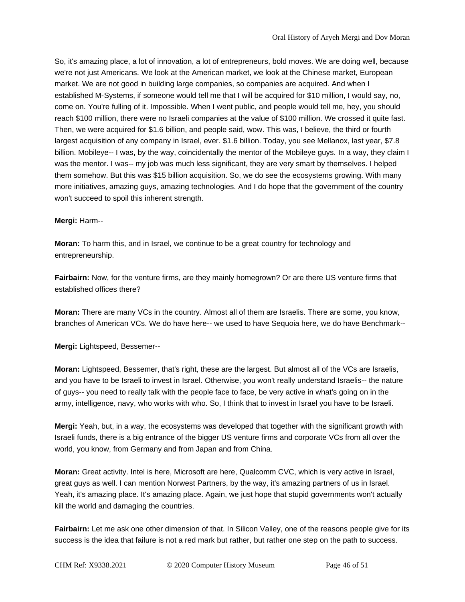So, it's amazing place, a lot of innovation, a lot of entrepreneurs, bold moves. We are doing well, because we're not just Americans. We look at the American market, we look at the Chinese market, European market. We are not good in building large companies, so companies are acquired. And when I established M-Systems, if someone would tell me that I will be acquired for \$10 million, I would say, no, come on. You're fulling of it. Impossible. When I went public, and people would tell me, hey, you should reach \$100 million, there were no Israeli companies at the value of \$100 million. We crossed it quite fast. Then, we were acquired for \$1.6 billion, and people said, wow. This was, I believe, the third or fourth largest acquisition of any company in Israel, ever. \$1.6 billion. Today, you see Mellanox, last year, \$7.8 billion. Mobileye-- I was, by the way, coincidentally the mentor of the Mobileye guys. In a way, they claim I was the mentor. I was-- my job was much less significant, they are very smart by themselves. I helped them somehow. But this was \$15 billion acquisition. So, we do see the ecosystems growing. With many more initiatives, amazing guys, amazing technologies. And I do hope that the government of the country won't succeed to spoil this inherent strength.

## **Mergi:** Harm--

**Moran:** To harm this, and in Israel, we continue to be a great country for technology and entrepreneurship.

**Fairbairn:** Now, for the venture firms, are they mainly homegrown? Or are there US venture firms that established offices there?

**Moran:** There are many VCs in the country. Almost all of them are Israelis. There are some, you know, branches of American VCs. We do have here-- we used to have Sequoia here, we do have Benchmark--

**Mergi:** Lightspeed, Bessemer--

**Moran:** Lightspeed, Bessemer, that's right, these are the largest. But almost all of the VCs are Israelis, and you have to be Israeli to invest in Israel. Otherwise, you won't really understand Israelis-- the nature of guys-- you need to really talk with the people face to face, be very active in what's going on in the army, intelligence, navy, who works with who. So, I think that to invest in Israel you have to be Israeli.

**Mergi:** Yeah, but, in a way, the ecosystems was developed that together with the significant growth with Israeli funds, there is a big entrance of the bigger US venture firms and corporate VCs from all over the world, you know, from Germany and from Japan and from China.

**Moran:** Great activity. Intel is here, Microsoft are here, Qualcomm CVC, which is very active in Israel, great guys as well. I can mention Norwest Partners, by the way, it's amazing partners of us in Israel. Yeah, it's amazing place. It's amazing place. Again, we just hope that stupid governments won't actually kill the world and damaging the countries.

**Fairbairn:** Let me ask one other dimension of that. In Silicon Valley, one of the reasons people give for its success is the idea that failure is not a red mark but rather, but rather one step on the path to success.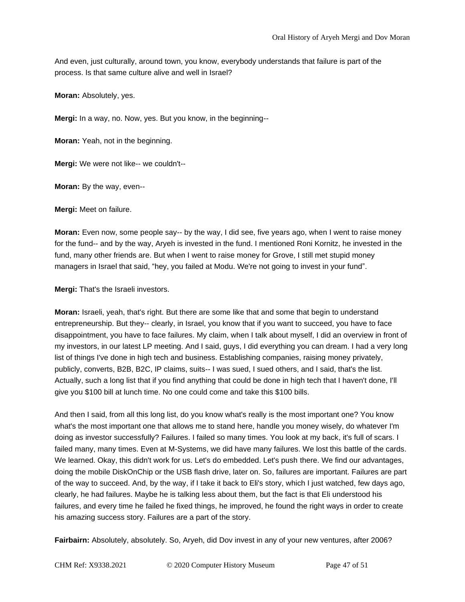And even, just culturally, around town, you know, everybody understands that failure is part of the process. Is that same culture alive and well in Israel?

**Moran:** Absolutely, yes.

**Mergi:** In a way, no. Now, yes. But you know, in the beginning--

**Moran:** Yeah, not in the beginning.

**Mergi:** We were not like-- we couldn't--

**Moran:** By the way, even--

**Mergi:** Meet on failure.

**Moran:** Even now, some people say-- by the way, I did see, five years ago, when I went to raise money for the fund-- and by the way, Aryeh is invested in the fund. I mentioned Roni Kornitz, he invested in the fund, many other friends are. But when I went to raise money for Grove, I still met stupid money managers in Israel that said, "hey, you failed at Modu. We're not going to invest in your fund".

**Mergi:** That's the Israeli investors.

**Moran:** Israeli, yeah, that's right. But there are some like that and some that begin to understand entrepreneurship. But they-- clearly, in Israel, you know that if you want to succeed, you have to face disappointment, you have to face failures. My claim, when I talk about myself, I did an overview in front of my investors, in our latest LP meeting. And I said, guys, I did everything you can dream. I had a very long list of things I've done in high tech and business. Establishing companies, raising money privately, publicly, converts, B2B, B2C, IP claims, suits-- I was sued, I sued others, and I said, that's the list. Actually, such a long list that if you find anything that could be done in high tech that I haven't done, I'll give you \$100 bill at lunch time. No one could come and take this \$100 bills.

And then I said, from all this long list, do you know what's really is the most important one? You know what's the most important one that allows me to stand here, handle you money wisely, do whatever I'm doing as investor successfully? Failures. I failed so many times. You look at my back, it's full of scars. I failed many, many times. Even at M-Systems, we did have many failures. We lost this battle of the cards. We learned. Okay, this didn't work for us. Let's do embedded. Let's push there. We find our advantages, doing the mobile DiskOnChip or the USB flash drive, later on. So, failures are important. Failures are part of the way to succeed. And, by the way, if I take it back to Eli's story, which I just watched, few days ago, clearly, he had failures. Maybe he is talking less about them, but the fact is that Eli understood his failures, and every time he failed he fixed things, he improved, he found the right ways in order to create his amazing success story. Failures are a part of the story.

**Fairbairn:** Absolutely, absolutely. So, Aryeh, did Dov invest in any of your new ventures, after 2006?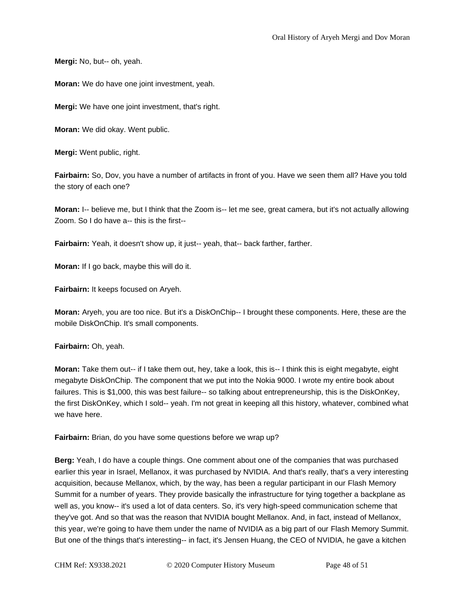**Mergi:** No, but-- oh, yeah.

**Moran:** We do have one joint investment, yeah.

**Mergi:** We have one joint investment, that's right.

**Moran:** We did okay. Went public.

**Mergi:** Went public, right.

**Fairbairn:** So, Dov, you have a number of artifacts in front of you. Have we seen them all? Have you told the story of each one?

**Moran:** I-- believe me, but I think that the Zoom is-- let me see, great camera, but it's not actually allowing Zoom. So I do have a-- this is the first--

**Fairbairn:** Yeah, it doesn't show up, it just-- yeah, that-- back farther, farther.

**Moran:** If I go back, maybe this will do it.

**Fairbairn:** It keeps focused on Aryeh.

**Moran:** Aryeh, you are too nice. But it's a DiskOnChip-- I brought these components. Here, these are the mobile DiskOnChip. It's small components.

**Fairbairn:** Oh, yeah.

**Moran:** Take them out-- if I take them out, hey, take a look, this is-- I think this is eight megabyte, eight megabyte DiskOnChip. The component that we put into the Nokia 9000. I wrote my entire book about failures. This is \$1,000, this was best failure-- so talking about entrepreneurship, this is the DiskOnKey, the first DiskOnKey, which I sold-- yeah. I'm not great in keeping all this history, whatever, combined what we have here.

**Fairbairn:** Brian, do you have some questions before we wrap up?

**Berg:** Yeah, I do have a couple things. One comment about one of the companies that was purchased earlier this year in Israel, Mellanox, it was purchased by NVIDIA. And that's really, that's a very interesting acquisition, because Mellanox, which, by the way, has been a regular participant in our Flash Memory Summit for a number of years. They provide basically the infrastructure for tying together a backplane as well as, you know-- it's used a lot of data centers. So, it's very high-speed communication scheme that they've got. And so that was the reason that NVIDIA bought Mellanox. And, in fact, instead of Mellanox, this year, we're going to have them under the name of NVIDIA as a big part of our Flash Memory Summit. But one of the things that's interesting-- in fact, it's Jensen Huang, the CEO of NVIDIA, he gave a kitchen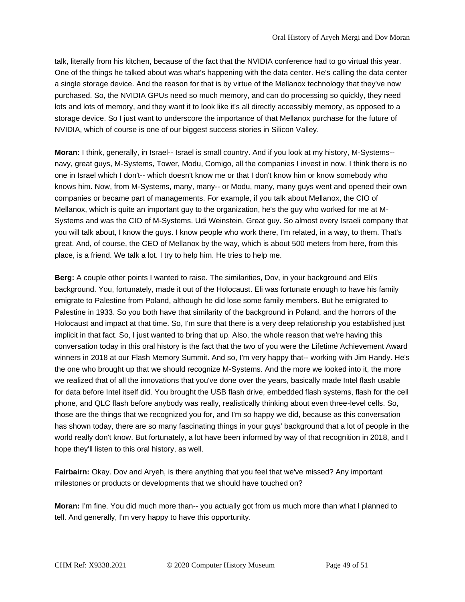talk, literally from his kitchen, because of the fact that the NVIDIA conference had to go virtual this year. One of the things he talked about was what's happening with the data center. He's calling the data center a single storage device. And the reason for that is by virtue of the Mellanox technology that they've now purchased. So, the NVIDIA GPUs need so much memory, and can do processing so quickly, they need lots and lots of memory, and they want it to look like it's all directly accessibly memory, as opposed to a storage device. So I just want to underscore the importance of that Mellanox purchase for the future of NVIDIA, which of course is one of our biggest success stories in Silicon Valley.

**Moran:** I think, generally, in Israel-- Israel is small country. And if you look at my history, M-Systems- navy, great guys, M-Systems, Tower, Modu, Comigo, all the companies I invest in now. I think there is no one in Israel which I don't-- which doesn't know me or that I don't know him or know somebody who knows him. Now, from M-Systems, many, many-- or Modu, many, many guys went and opened their own companies or became part of managements. For example, if you talk about Mellanox, the CIO of Mellanox, which is quite an important guy to the organization, he's the guy who worked for me at M-Systems and was the CIO of M-Systems. Udi Weinstein, Great guy. So almost every Israeli company that you will talk about, I know the guys. I know people who work there, I'm related, in a way, to them. That's great. And, of course, the CEO of Mellanox by the way, which is about 500 meters from here, from this place, is a friend. We talk a lot. I try to help him. He tries to help me.

**Berg:** A couple other points I wanted to raise. The similarities, Dov, in your background and Eli's background. You, fortunately, made it out of the Holocaust. Eli was fortunate enough to have his family emigrate to Palestine from Poland, although he did lose some family members. But he emigrated to Palestine in 1933. So you both have that similarity of the background in Poland, and the horrors of the Holocaust and impact at that time. So, I'm sure that there is a very deep relationship you established just implicit in that fact. So, I just wanted to bring that up. Also, the whole reason that we're having this conversation today in this oral history is the fact that the two of you were the Lifetime Achievement Award winners in 2018 at our Flash Memory Summit. And so, I'm very happy that-- working with Jim Handy. He's the one who brought up that we should recognize M-Systems. And the more we looked into it, the more we realized that of all the innovations that you've done over the years, basically made Intel flash usable for data before Intel itself did. You brought the USB flash drive, embedded flash systems, flash for the cell phone, and QLC flash before anybody was really, realistically thinking about even three-level cells. So, those are the things that we recognized you for, and I'm so happy we did, because as this conversation has shown today, there are so many fascinating things in your guys' background that a lot of people in the world really don't know. But fortunately, a lot have been informed by way of that recognition in 2018, and I hope they'll listen to this oral history, as well.

**Fairbairn:** Okay. Dov and Aryeh, is there anything that you feel that we've missed? Any important milestones or products or developments that we should have touched on?

**Moran:** I'm fine. You did much more than-- you actually got from us much more than what I planned to tell. And generally, I'm very happy to have this opportunity.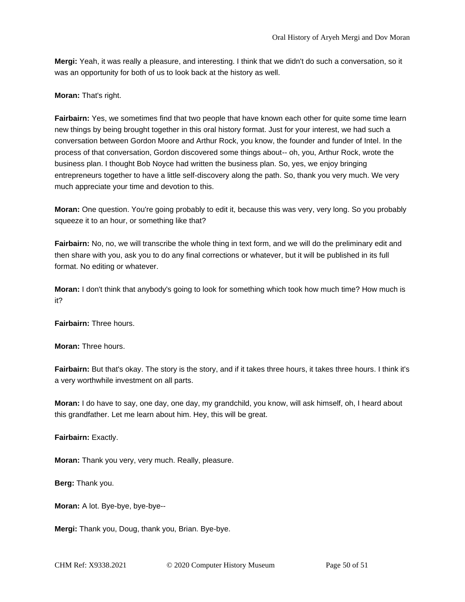**Mergi:** Yeah, it was really a pleasure, and interesting. I think that we didn't do such a conversation, so it was an opportunity for both of us to look back at the history as well.

**Moran:** That's right.

**Fairbairn:** Yes, we sometimes find that two people that have known each other for quite some time learn new things by being brought together in this oral history format. Just for your interest, we had such a conversation between Gordon Moore and Arthur Rock, you know, the founder and funder of Intel. In the process of that conversation, Gordon discovered some things about-- oh, you, Arthur Rock, wrote the business plan. I thought Bob Noyce had written the business plan. So, yes, we enjoy bringing entrepreneurs together to have a little self-discovery along the path. So, thank you very much. We very much appreciate your time and devotion to this.

**Moran:** One question. You're going probably to edit it, because this was very, very long. So you probably squeeze it to an hour, or something like that?

**Fairbairn:** No, no, we will transcribe the whole thing in text form, and we will do the preliminary edit and then share with you, ask you to do any final corrections or whatever, but it will be published in its full format. No editing or whatever.

**Moran:** I don't think that anybody's going to look for something which took how much time? How much is it?

**Fairbairn:** Three hours.

**Moran:** Three hours.

**Fairbairn:** But that's okay. The story is the story, and if it takes three hours, it takes three hours. I think it's a very worthwhile investment on all parts.

**Moran:** I do have to say, one day, one day, my grandchild, you know, will ask himself, oh, I heard about this grandfather. Let me learn about him. Hey, this will be great.

**Fairbairn:** Exactly.

**Moran:** Thank you very, very much. Really, pleasure.

**Berg:** Thank you.

**Moran:** A lot. Bye-bye, bye-bye--

**Mergi:** Thank you, Doug, thank you, Brian. Bye-bye.